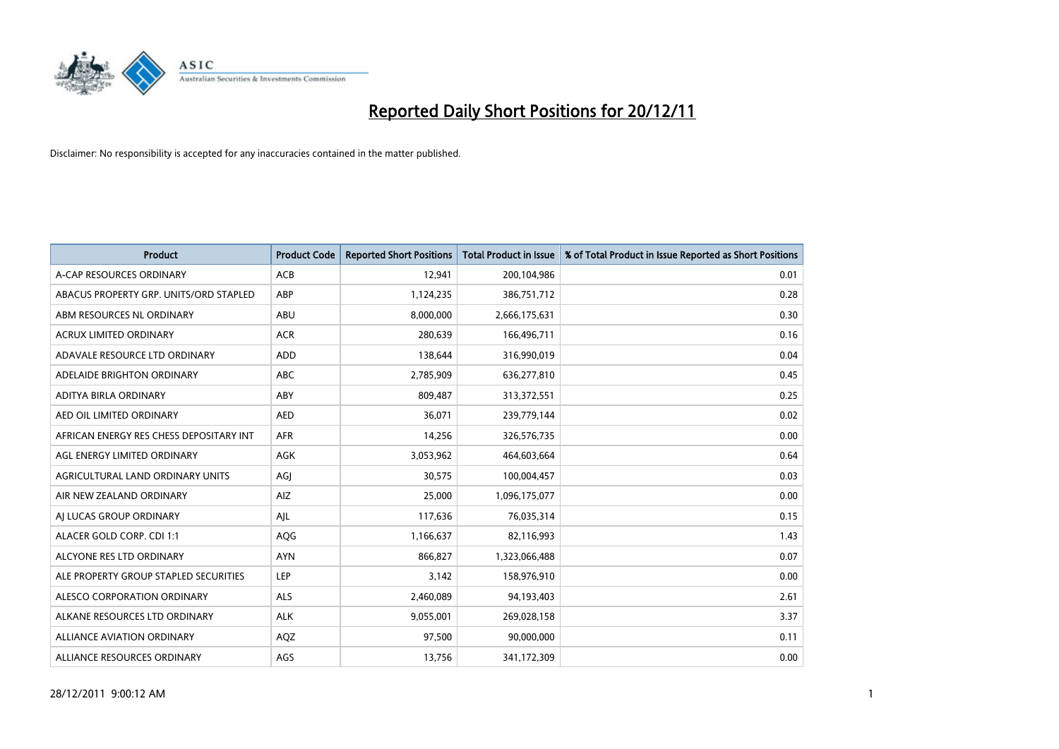

| <b>Product</b>                          | <b>Product Code</b> | <b>Reported Short Positions</b> | <b>Total Product in Issue</b> | % of Total Product in Issue Reported as Short Positions |
|-----------------------------------------|---------------------|---------------------------------|-------------------------------|---------------------------------------------------------|
| A-CAP RESOURCES ORDINARY                | ACB                 | 12,941                          | 200,104,986                   | 0.01                                                    |
| ABACUS PROPERTY GRP. UNITS/ORD STAPLED  | ABP                 | 1,124,235                       | 386,751,712                   | 0.28                                                    |
| ABM RESOURCES NL ORDINARY               | ABU                 | 8,000,000                       | 2,666,175,631                 | 0.30                                                    |
| <b>ACRUX LIMITED ORDINARY</b>           | <b>ACR</b>          | 280,639                         | 166,496,711                   | 0.16                                                    |
| ADAVALE RESOURCE LTD ORDINARY           | ADD                 | 138,644                         | 316,990,019                   | 0.04                                                    |
| ADELAIDE BRIGHTON ORDINARY              | <b>ABC</b>          | 2,785,909                       | 636,277,810                   | 0.45                                                    |
| ADITYA BIRLA ORDINARY                   | ABY                 | 809,487                         | 313,372,551                   | 0.25                                                    |
| AED OIL LIMITED ORDINARY                | <b>AED</b>          | 36,071                          | 239,779,144                   | 0.02                                                    |
| AFRICAN ENERGY RES CHESS DEPOSITARY INT | <b>AFR</b>          | 14,256                          | 326,576,735                   | 0.00                                                    |
| AGL ENERGY LIMITED ORDINARY             | <b>AGK</b>          | 3,053,962                       | 464,603,664                   | 0.64                                                    |
| AGRICULTURAL LAND ORDINARY UNITS        | AGJ                 | 30,575                          | 100,004,457                   | 0.03                                                    |
| AIR NEW ZEALAND ORDINARY                | AIZ                 | 25,000                          | 1,096,175,077                 | 0.00                                                    |
| AI LUCAS GROUP ORDINARY                 | AJL                 | 117,636                         | 76,035,314                    | 0.15                                                    |
| ALACER GOLD CORP. CDI 1:1               | AQG                 | 1,166,637                       | 82,116,993                    | 1.43                                                    |
| ALCYONE RES LTD ORDINARY                | <b>AYN</b>          | 866,827                         | 1,323,066,488                 | 0.07                                                    |
| ALE PROPERTY GROUP STAPLED SECURITIES   | LEP                 | 3,142                           | 158,976,910                   | 0.00                                                    |
| ALESCO CORPORATION ORDINARY             | <b>ALS</b>          | 2,460,089                       | 94,193,403                    | 2.61                                                    |
| ALKANE RESOURCES LTD ORDINARY           | <b>ALK</b>          | 9,055,001                       | 269,028,158                   | 3.37                                                    |
| <b>ALLIANCE AVIATION ORDINARY</b>       | AQZ                 | 97,500                          | 90,000,000                    | 0.11                                                    |
| ALLIANCE RESOURCES ORDINARY             | AGS                 | 13,756                          | 341,172,309                   | 0.00                                                    |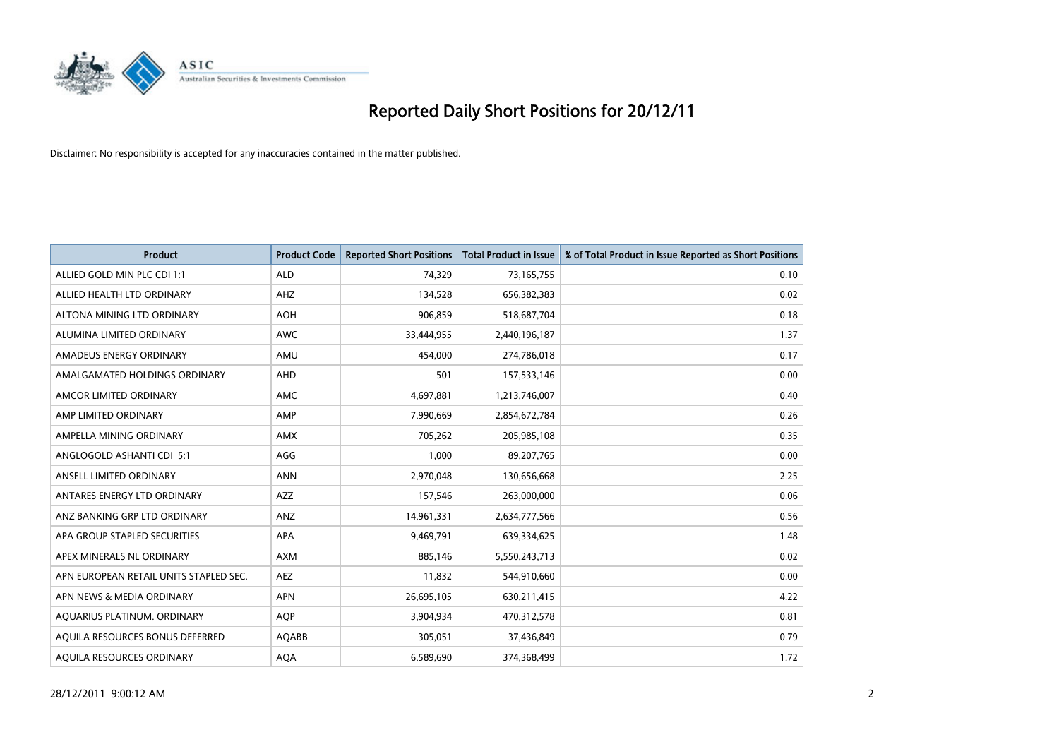

| <b>Product</b>                         | <b>Product Code</b> | <b>Reported Short Positions</b> | <b>Total Product in Issue</b> | % of Total Product in Issue Reported as Short Positions |
|----------------------------------------|---------------------|---------------------------------|-------------------------------|---------------------------------------------------------|
| ALLIED GOLD MIN PLC CDI 1:1            | <b>ALD</b>          | 74,329                          | 73,165,755                    | 0.10                                                    |
| ALLIED HEALTH LTD ORDINARY             | AHZ                 | 134,528                         | 656,382,383                   | 0.02                                                    |
| ALTONA MINING LTD ORDINARY             | <b>AOH</b>          | 906,859                         | 518,687,704                   | 0.18                                                    |
| ALUMINA LIMITED ORDINARY               | <b>AWC</b>          | 33,444,955                      | 2,440,196,187                 | 1.37                                                    |
| AMADEUS ENERGY ORDINARY                | AMU                 | 454.000                         | 274,786,018                   | 0.17                                                    |
| AMALGAMATED HOLDINGS ORDINARY          | AHD                 | 501                             | 157,533,146                   | 0.00                                                    |
| AMCOR LIMITED ORDINARY                 | <b>AMC</b>          | 4,697,881                       | 1,213,746,007                 | 0.40                                                    |
| AMP LIMITED ORDINARY                   | AMP                 | 7,990,669                       | 2,854,672,784                 | 0.26                                                    |
| AMPELLA MINING ORDINARY                | <b>AMX</b>          | 705,262                         | 205,985,108                   | 0.35                                                    |
| ANGLOGOLD ASHANTI CDI 5:1              | AGG                 | 1,000                           | 89,207,765                    | 0.00                                                    |
| ANSELL LIMITED ORDINARY                | <b>ANN</b>          | 2,970,048                       | 130,656,668                   | 2.25                                                    |
| ANTARES ENERGY LTD ORDINARY            | <b>AZZ</b>          | 157,546                         | 263,000,000                   | 0.06                                                    |
| ANZ BANKING GRP LTD ORDINARY           | ANZ                 | 14,961,331                      | 2,634,777,566                 | 0.56                                                    |
| APA GROUP STAPLED SECURITIES           | APA                 | 9,469,791                       | 639,334,625                   | 1.48                                                    |
| APEX MINERALS NL ORDINARY              | <b>AXM</b>          | 885,146                         | 5,550,243,713                 | 0.02                                                    |
| APN EUROPEAN RETAIL UNITS STAPLED SEC. | AEZ                 | 11,832                          | 544,910,660                   | 0.00                                                    |
| APN NEWS & MEDIA ORDINARY              | <b>APN</b>          | 26,695,105                      | 630,211,415                   | 4.22                                                    |
| AQUARIUS PLATINUM. ORDINARY            | <b>AQP</b>          | 3,904,934                       | 470,312,578                   | 0.81                                                    |
| AOUILA RESOURCES BONUS DEFERRED        | AQABB               | 305,051                         | 37,436,849                    | 0.79                                                    |
| AOUILA RESOURCES ORDINARY              | <b>AQA</b>          | 6,589,690                       | 374,368,499                   | 1.72                                                    |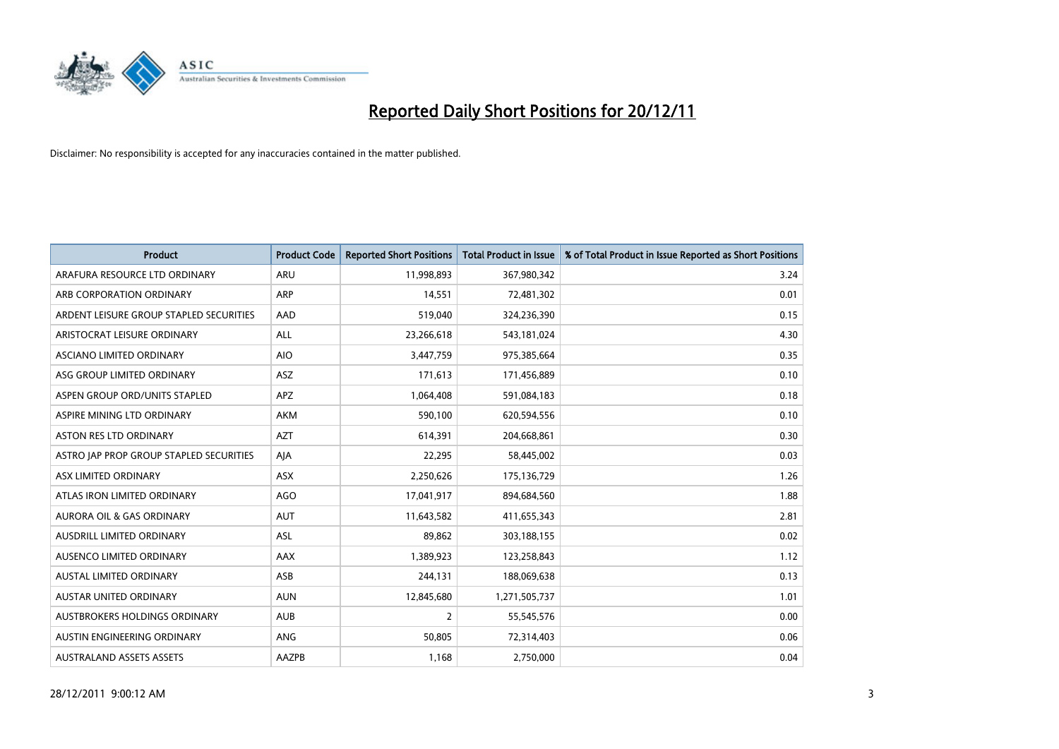

| <b>Product</b>                          | <b>Product Code</b> | <b>Reported Short Positions</b> | <b>Total Product in Issue</b> | % of Total Product in Issue Reported as Short Positions |
|-----------------------------------------|---------------------|---------------------------------|-------------------------------|---------------------------------------------------------|
| ARAFURA RESOURCE LTD ORDINARY           | <b>ARU</b>          | 11,998,893                      | 367,980,342                   | 3.24                                                    |
| ARB CORPORATION ORDINARY                | <b>ARP</b>          | 14,551                          | 72,481,302                    | 0.01                                                    |
| ARDENT LEISURE GROUP STAPLED SECURITIES | AAD                 | 519,040                         | 324,236,390                   | 0.15                                                    |
| ARISTOCRAT LEISURE ORDINARY             | ALL                 | 23,266,618                      | 543,181,024                   | 4.30                                                    |
| ASCIANO LIMITED ORDINARY                | <b>AIO</b>          | 3,447,759                       | 975,385,664                   | 0.35                                                    |
| ASG GROUP LIMITED ORDINARY              | <b>ASZ</b>          | 171,613                         | 171,456,889                   | 0.10                                                    |
| ASPEN GROUP ORD/UNITS STAPLED           | <b>APZ</b>          | 1,064,408                       | 591,084,183                   | 0.18                                                    |
| ASPIRE MINING LTD ORDINARY              | <b>AKM</b>          | 590,100                         | 620,594,556                   | 0.10                                                    |
| <b>ASTON RES LTD ORDINARY</b>           | <b>AZT</b>          | 614,391                         | 204,668,861                   | 0.30                                                    |
| ASTRO JAP PROP GROUP STAPLED SECURITIES | AIA                 | 22,295                          | 58,445,002                    | 0.03                                                    |
| ASX LIMITED ORDINARY                    | ASX                 | 2,250,626                       | 175,136,729                   | 1.26                                                    |
| ATLAS IRON LIMITED ORDINARY             | AGO                 | 17,041,917                      | 894,684,560                   | 1.88                                                    |
| AURORA OIL & GAS ORDINARY               | <b>AUT</b>          | 11,643,582                      | 411,655,343                   | 2.81                                                    |
| AUSDRILL LIMITED ORDINARY               | ASL                 | 89,862                          | 303,188,155                   | 0.02                                                    |
| AUSENCO LIMITED ORDINARY                | <b>AAX</b>          | 1,389,923                       | 123,258,843                   | 1.12                                                    |
| AUSTAL LIMITED ORDINARY                 | ASB                 | 244,131                         | 188,069,638                   | 0.13                                                    |
| AUSTAR UNITED ORDINARY                  | <b>AUN</b>          | 12,845,680                      | 1,271,505,737                 | 1.01                                                    |
| AUSTBROKERS HOLDINGS ORDINARY           | <b>AUB</b>          | 2                               | 55,545,576                    | 0.00                                                    |
| AUSTIN ENGINEERING ORDINARY             | <b>ANG</b>          | 50,805                          | 72,314,403                    | 0.06                                                    |
| <b>AUSTRALAND ASSETS ASSETS</b>         | AAZPB               | 1,168                           | 2,750,000                     | 0.04                                                    |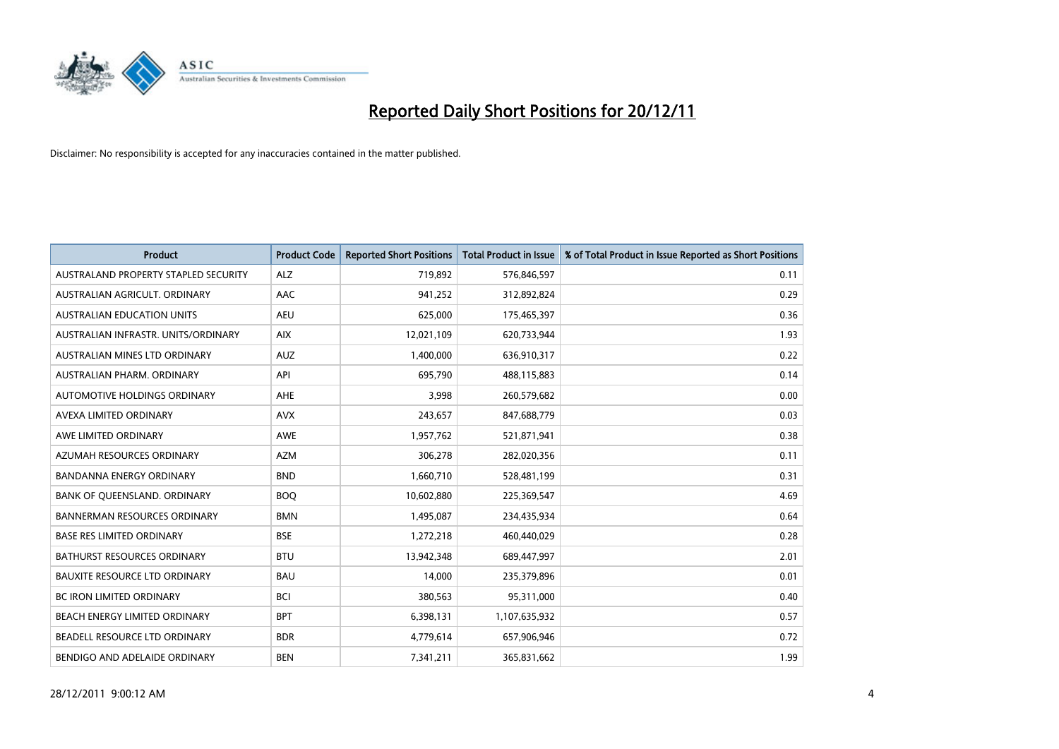

| <b>Product</b>                       | <b>Product Code</b> | <b>Reported Short Positions</b> | <b>Total Product in Issue</b> | % of Total Product in Issue Reported as Short Positions |
|--------------------------------------|---------------------|---------------------------------|-------------------------------|---------------------------------------------------------|
| AUSTRALAND PROPERTY STAPLED SECURITY | <b>ALZ</b>          | 719,892                         | 576,846,597                   | 0.11                                                    |
| AUSTRALIAN AGRICULT, ORDINARY        | AAC                 | 941,252                         | 312,892,824                   | 0.29                                                    |
| <b>AUSTRALIAN EDUCATION UNITS</b>    | <b>AEU</b>          | 625,000                         | 175,465,397                   | 0.36                                                    |
| AUSTRALIAN INFRASTR. UNITS/ORDINARY  | <b>AIX</b>          | 12,021,109                      | 620,733,944                   | 1.93                                                    |
| AUSTRALIAN MINES LTD ORDINARY        | <b>AUZ</b>          | 1,400,000                       | 636,910,317                   | 0.22                                                    |
| AUSTRALIAN PHARM, ORDINARY           | API                 | 695,790                         | 488,115,883                   | 0.14                                                    |
| AUTOMOTIVE HOLDINGS ORDINARY         | <b>AHE</b>          | 3.998                           | 260,579,682                   | 0.00                                                    |
| AVEXA LIMITED ORDINARY               | <b>AVX</b>          | 243,657                         | 847,688,779                   | 0.03                                                    |
| AWE LIMITED ORDINARY                 | <b>AWE</b>          | 1,957,762                       | 521,871,941                   | 0.38                                                    |
| AZUMAH RESOURCES ORDINARY            | <b>AZM</b>          | 306,278                         | 282,020,356                   | 0.11                                                    |
| <b>BANDANNA ENERGY ORDINARY</b>      | <b>BND</b>          | 1,660,710                       | 528,481,199                   | 0.31                                                    |
| BANK OF QUEENSLAND. ORDINARY         | <b>BOQ</b>          | 10,602,880                      | 225,369,547                   | 4.69                                                    |
| <b>BANNERMAN RESOURCES ORDINARY</b>  | <b>BMN</b>          | 1,495,087                       | 234,435,934                   | 0.64                                                    |
| <b>BASE RES LIMITED ORDINARY</b>     | <b>BSE</b>          | 1,272,218                       | 460,440,029                   | 0.28                                                    |
| <b>BATHURST RESOURCES ORDINARY</b>   | <b>BTU</b>          | 13,942,348                      | 689,447,997                   | 2.01                                                    |
| <b>BAUXITE RESOURCE LTD ORDINARY</b> | <b>BAU</b>          | 14.000                          | 235,379,896                   | 0.01                                                    |
| <b>BC IRON LIMITED ORDINARY</b>      | <b>BCI</b>          | 380,563                         | 95,311,000                    | 0.40                                                    |
| BEACH ENERGY LIMITED ORDINARY        | <b>BPT</b>          | 6,398,131                       | 1,107,635,932                 | 0.57                                                    |
| BEADELL RESOURCE LTD ORDINARY        | <b>BDR</b>          | 4,779,614                       | 657,906,946                   | 0.72                                                    |
| BENDIGO AND ADELAIDE ORDINARY        | <b>BEN</b>          | 7,341,211                       | 365,831,662                   | 1.99                                                    |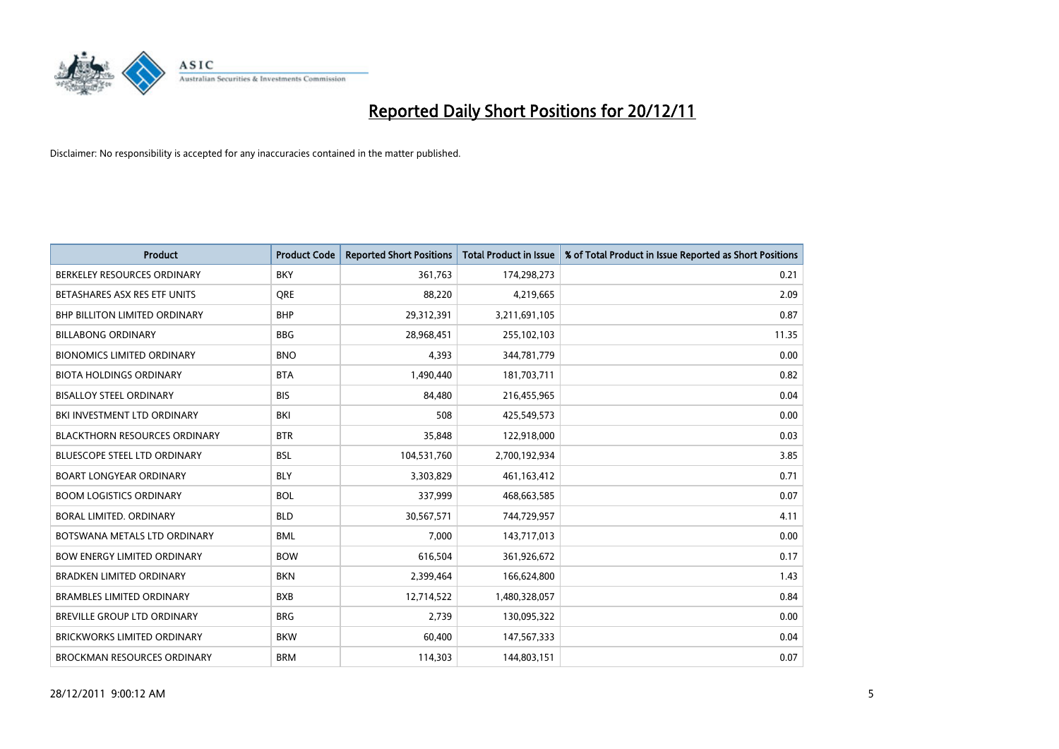

| <b>Product</b>                       | <b>Product Code</b> | <b>Reported Short Positions</b> | <b>Total Product in Issue</b> | % of Total Product in Issue Reported as Short Positions |
|--------------------------------------|---------------------|---------------------------------|-------------------------------|---------------------------------------------------------|
| BERKELEY RESOURCES ORDINARY          | <b>BKY</b>          | 361,763                         | 174,298,273                   | 0.21                                                    |
| BETASHARES ASX RES ETF UNITS         | <b>ORE</b>          | 88,220                          | 4,219,665                     | 2.09                                                    |
| <b>BHP BILLITON LIMITED ORDINARY</b> | <b>BHP</b>          | 29,312,391                      | 3,211,691,105                 | 0.87                                                    |
| <b>BILLABONG ORDINARY</b>            | <b>BBG</b>          | 28,968,451                      | 255,102,103                   | 11.35                                                   |
| <b>BIONOMICS LIMITED ORDINARY</b>    | <b>BNO</b>          | 4,393                           | 344,781,779                   | 0.00                                                    |
| <b>BIOTA HOLDINGS ORDINARY</b>       | <b>BTA</b>          | 1,490,440                       | 181,703,711                   | 0.82                                                    |
| <b>BISALLOY STEEL ORDINARY</b>       | <b>BIS</b>          | 84,480                          | 216,455,965                   | 0.04                                                    |
| BKI INVESTMENT LTD ORDINARY          | <b>BKI</b>          | 508                             | 425,549,573                   | 0.00                                                    |
| <b>BLACKTHORN RESOURCES ORDINARY</b> | <b>BTR</b>          | 35,848                          | 122,918,000                   | 0.03                                                    |
| <b>BLUESCOPE STEEL LTD ORDINARY</b>  | <b>BSL</b>          | 104,531,760                     | 2,700,192,934                 | 3.85                                                    |
| <b>BOART LONGYEAR ORDINARY</b>       | <b>BLY</b>          | 3,303,829                       | 461,163,412                   | 0.71                                                    |
| <b>BOOM LOGISTICS ORDINARY</b>       | <b>BOL</b>          | 337,999                         | 468,663,585                   | 0.07                                                    |
| <b>BORAL LIMITED, ORDINARY</b>       | <b>BLD</b>          | 30,567,571                      | 744,729,957                   | 4.11                                                    |
| BOTSWANA METALS LTD ORDINARY         | <b>BML</b>          | 7,000                           | 143,717,013                   | 0.00                                                    |
| <b>BOW ENERGY LIMITED ORDINARY</b>   | <b>BOW</b>          | 616,504                         | 361,926,672                   | 0.17                                                    |
| <b>BRADKEN LIMITED ORDINARY</b>      | <b>BKN</b>          | 2,399,464                       | 166,624,800                   | 1.43                                                    |
| <b>BRAMBLES LIMITED ORDINARY</b>     | <b>BXB</b>          | 12,714,522                      | 1,480,328,057                 | 0.84                                                    |
| BREVILLE GROUP LTD ORDINARY          | <b>BRG</b>          | 2,739                           | 130,095,322                   | 0.00                                                    |
| <b>BRICKWORKS LIMITED ORDINARY</b>   | <b>BKW</b>          | 60,400                          | 147,567,333                   | 0.04                                                    |
| <b>BROCKMAN RESOURCES ORDINARY</b>   | <b>BRM</b>          | 114,303                         | 144,803,151                   | 0.07                                                    |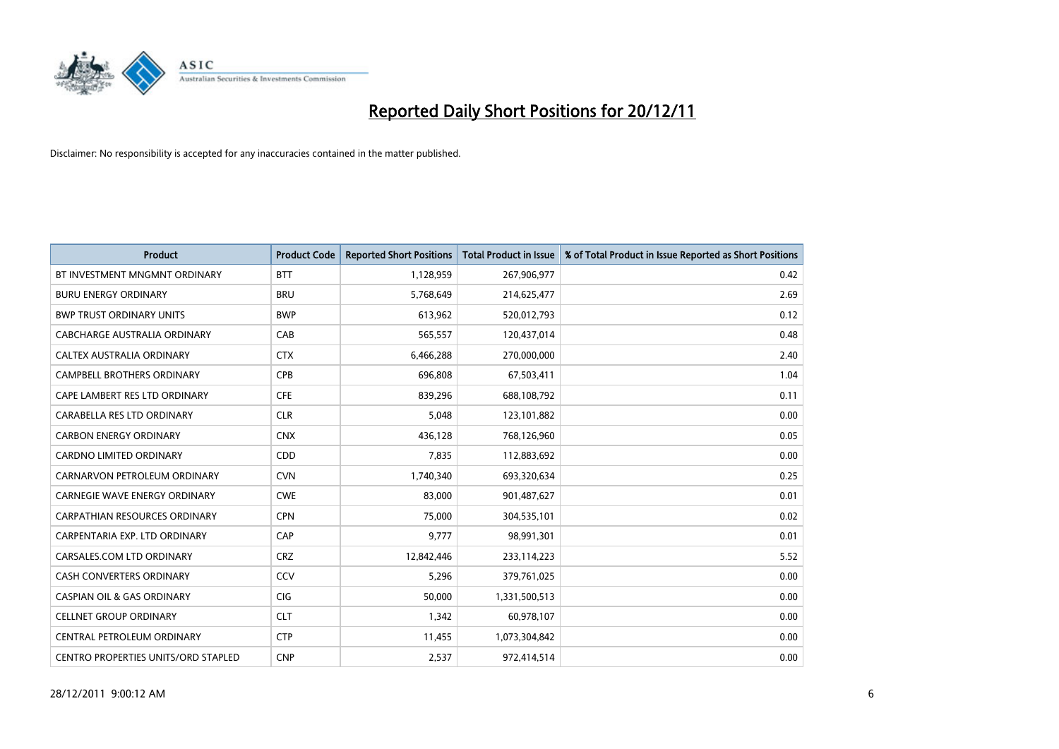

| <b>Product</b>                             | <b>Product Code</b> | <b>Reported Short Positions</b> | <b>Total Product in Issue</b> | % of Total Product in Issue Reported as Short Positions |
|--------------------------------------------|---------------------|---------------------------------|-------------------------------|---------------------------------------------------------|
| BT INVESTMENT MNGMNT ORDINARY              | <b>BTT</b>          | 1,128,959                       | 267,906,977                   | 0.42                                                    |
| <b>BURU ENERGY ORDINARY</b>                | <b>BRU</b>          | 5,768,649                       | 214,625,477                   | 2.69                                                    |
| <b>BWP TRUST ORDINARY UNITS</b>            | <b>BWP</b>          | 613,962                         | 520,012,793                   | 0.12                                                    |
| CABCHARGE AUSTRALIA ORDINARY               | CAB                 | 565,557                         | 120,437,014                   | 0.48                                                    |
| CALTEX AUSTRALIA ORDINARY                  | <b>CTX</b>          | 6,466,288                       | 270,000,000                   | 2.40                                                    |
| <b>CAMPBELL BROTHERS ORDINARY</b>          | <b>CPB</b>          | 696,808                         | 67,503,411                    | 1.04                                                    |
| CAPE LAMBERT RES LTD ORDINARY              | <b>CFE</b>          | 839.296                         | 688,108,792                   | 0.11                                                    |
| CARABELLA RES LTD ORDINARY                 | <b>CLR</b>          | 5,048                           | 123,101,882                   | 0.00                                                    |
| <b>CARBON ENERGY ORDINARY</b>              | <b>CNX</b>          | 436,128                         | 768,126,960                   | 0.05                                                    |
| <b>CARDNO LIMITED ORDINARY</b>             | <b>CDD</b>          | 7.835                           | 112,883,692                   | 0.00                                                    |
| CARNARVON PETROLEUM ORDINARY               | <b>CVN</b>          | 1,740,340                       | 693,320,634                   | 0.25                                                    |
| <b>CARNEGIE WAVE ENERGY ORDINARY</b>       | <b>CWE</b>          | 83,000                          | 901,487,627                   | 0.01                                                    |
| <b>CARPATHIAN RESOURCES ORDINARY</b>       | <b>CPN</b>          | 75.000                          | 304,535,101                   | 0.02                                                    |
| CARPENTARIA EXP. LTD ORDINARY              | CAP                 | 9.777                           | 98,991,301                    | 0.01                                                    |
| CARSALES.COM LTD ORDINARY                  | <b>CRZ</b>          | 12,842,446                      | 233,114,223                   | 5.52                                                    |
| <b>CASH CONVERTERS ORDINARY</b>            | CCV                 | 5,296                           | 379,761,025                   | 0.00                                                    |
| <b>CASPIAN OIL &amp; GAS ORDINARY</b>      | <b>CIG</b>          | 50,000                          | 1,331,500,513                 | 0.00                                                    |
| <b>CELLNET GROUP ORDINARY</b>              | <b>CLT</b>          | 1,342                           | 60,978,107                    | 0.00                                                    |
| CENTRAL PETROLEUM ORDINARY                 | <b>CTP</b>          | 11,455                          | 1,073,304,842                 | 0.00                                                    |
| <b>CENTRO PROPERTIES UNITS/ORD STAPLED</b> | <b>CNP</b>          | 2,537                           | 972,414,514                   | 0.00                                                    |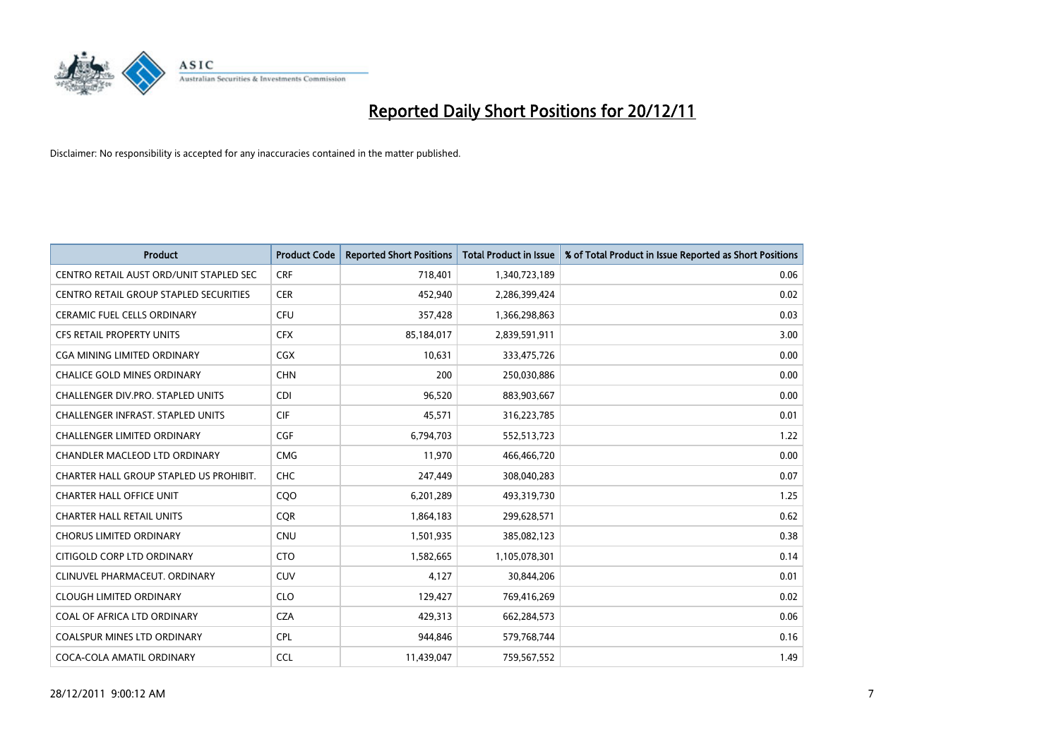

| <b>Product</b>                           | <b>Product Code</b> | <b>Reported Short Positions</b> | <b>Total Product in Issue</b> | % of Total Product in Issue Reported as Short Positions |
|------------------------------------------|---------------------|---------------------------------|-------------------------------|---------------------------------------------------------|
| CENTRO RETAIL AUST ORD/UNIT STAPLED SEC  | <b>CRF</b>          | 718,401                         | 1,340,723,189                 | 0.06                                                    |
| CENTRO RETAIL GROUP STAPLED SECURITIES   | <b>CER</b>          | 452,940                         | 2,286,399,424                 | 0.02                                                    |
| <b>CERAMIC FUEL CELLS ORDINARY</b>       | CFU                 | 357,428                         | 1,366,298,863                 | 0.03                                                    |
| CFS RETAIL PROPERTY UNITS                | <b>CFX</b>          | 85,184,017                      | 2,839,591,911                 | 3.00                                                    |
| CGA MINING LIMITED ORDINARY              | <b>CGX</b>          | 10.631                          | 333,475,726                   | 0.00                                                    |
| <b>CHALICE GOLD MINES ORDINARY</b>       | <b>CHN</b>          | 200                             | 250,030,886                   | 0.00                                                    |
| CHALLENGER DIV.PRO. STAPLED UNITS        | <b>CDI</b>          | 96,520                          | 883,903,667                   | 0.00                                                    |
| <b>CHALLENGER INFRAST, STAPLED UNITS</b> | <b>CIF</b>          | 45,571                          | 316,223,785                   | 0.01                                                    |
| CHALLENGER LIMITED ORDINARY              | <b>CGF</b>          | 6,794,703                       | 552,513,723                   | 1.22                                                    |
| CHANDLER MACLEOD LTD ORDINARY            | <b>CMG</b>          | 11,970                          | 466,466,720                   | 0.00                                                    |
| CHARTER HALL GROUP STAPLED US PROHIBIT.  | CHC                 | 247,449                         | 308,040,283                   | 0.07                                                    |
| <b>CHARTER HALL OFFICE UNIT</b>          | CQ <sub>O</sub>     | 6,201,289                       | 493,319,730                   | 1.25                                                    |
| <b>CHARTER HALL RETAIL UNITS</b>         | <b>COR</b>          | 1,864,183                       | 299,628,571                   | 0.62                                                    |
| <b>CHORUS LIMITED ORDINARY</b>           | <b>CNU</b>          | 1,501,935                       | 385,082,123                   | 0.38                                                    |
| CITIGOLD CORP LTD ORDINARY               | <b>CTO</b>          | 1,582,665                       | 1,105,078,301                 | 0.14                                                    |
| CLINUVEL PHARMACEUT, ORDINARY            | CUV                 | 4,127                           | 30,844,206                    | 0.01                                                    |
| <b>CLOUGH LIMITED ORDINARY</b>           | <b>CLO</b>          | 129,427                         | 769,416,269                   | 0.02                                                    |
| COAL OF AFRICA LTD ORDINARY              | <b>CZA</b>          | 429,313                         | 662,284,573                   | 0.06                                                    |
| <b>COALSPUR MINES LTD ORDINARY</b>       | <b>CPL</b>          | 944,846                         | 579,768,744                   | 0.16                                                    |
| COCA-COLA AMATIL ORDINARY                | <b>CCL</b>          | 11.439.047                      | 759,567,552                   | 1.49                                                    |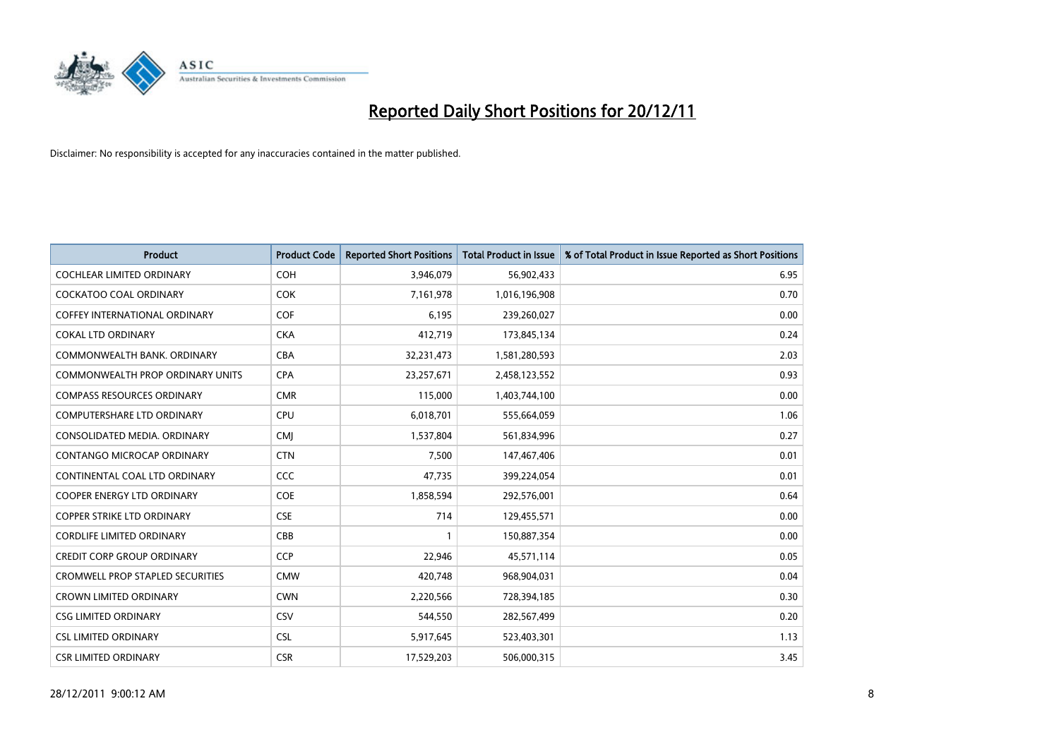

| <b>Product</b>                          | <b>Product Code</b> | <b>Reported Short Positions</b> | <b>Total Product in Issue</b> | % of Total Product in Issue Reported as Short Positions |
|-----------------------------------------|---------------------|---------------------------------|-------------------------------|---------------------------------------------------------|
| <b>COCHLEAR LIMITED ORDINARY</b>        | <b>COH</b>          | 3,946,079                       | 56,902,433                    | 6.95                                                    |
| COCKATOO COAL ORDINARY                  | <b>COK</b>          | 7,161,978                       | 1,016,196,908                 | 0.70                                                    |
| <b>COFFEY INTERNATIONAL ORDINARY</b>    | <b>COF</b>          | 6,195                           | 239,260,027                   | 0.00                                                    |
| <b>COKAL LTD ORDINARY</b>               | <b>CKA</b>          | 412,719                         | 173,845,134                   | 0.24                                                    |
| COMMONWEALTH BANK, ORDINARY             | <b>CBA</b>          | 32,231,473                      | 1,581,280,593                 | 2.03                                                    |
| COMMONWEALTH PROP ORDINARY UNITS        | <b>CPA</b>          | 23,257,671                      | 2,458,123,552                 | 0.93                                                    |
| <b>COMPASS RESOURCES ORDINARY</b>       | <b>CMR</b>          | 115,000                         | 1,403,744,100                 | 0.00                                                    |
| <b>COMPUTERSHARE LTD ORDINARY</b>       | <b>CPU</b>          | 6,018,701                       | 555,664,059                   | 1.06                                                    |
| CONSOLIDATED MEDIA. ORDINARY            | <b>CMI</b>          | 1,537,804                       | 561,834,996                   | 0.27                                                    |
| <b>CONTANGO MICROCAP ORDINARY</b>       | <b>CTN</b>          | 7,500                           | 147,467,406                   | 0.01                                                    |
| CONTINENTAL COAL LTD ORDINARY           | <b>CCC</b>          | 47,735                          | 399,224,054                   | 0.01                                                    |
| <b>COOPER ENERGY LTD ORDINARY</b>       | COE                 | 1,858,594                       | 292,576,001                   | 0.64                                                    |
| <b>COPPER STRIKE LTD ORDINARY</b>       | <b>CSE</b>          | 714                             | 129,455,571                   | 0.00                                                    |
| <b>CORDLIFE LIMITED ORDINARY</b>        | CBB                 |                                 | 150,887,354                   | 0.00                                                    |
| <b>CREDIT CORP GROUP ORDINARY</b>       | CCP                 | 22,946                          | 45,571,114                    | 0.05                                                    |
| <b>CROMWELL PROP STAPLED SECURITIES</b> | <b>CMW</b>          | 420,748                         | 968,904,031                   | 0.04                                                    |
| <b>CROWN LIMITED ORDINARY</b>           | <b>CWN</b>          | 2,220,566                       | 728,394,185                   | 0.30                                                    |
| <b>CSG LIMITED ORDINARY</b>             | CSV                 | 544,550                         | 282,567,499                   | 0.20                                                    |
| <b>CSL LIMITED ORDINARY</b>             | <b>CSL</b>          | 5,917,645                       | 523,403,301                   | 1.13                                                    |
| <b>CSR LIMITED ORDINARY</b>             | <b>CSR</b>          | 17,529,203                      | 506,000,315                   | 3.45                                                    |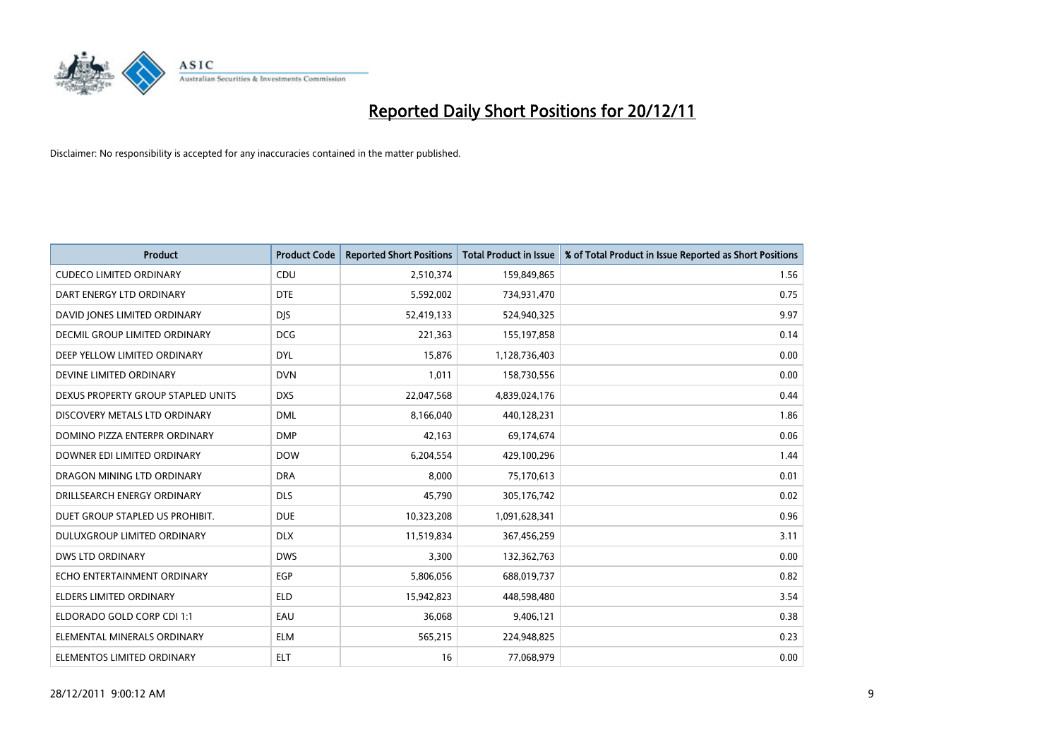

| <b>Product</b>                       | <b>Product Code</b> | <b>Reported Short Positions</b> | <b>Total Product in Issue</b> | % of Total Product in Issue Reported as Short Positions |
|--------------------------------------|---------------------|---------------------------------|-------------------------------|---------------------------------------------------------|
| <b>CUDECO LIMITED ORDINARY</b>       | CDU                 | 2,510,374                       | 159,849,865                   | 1.56                                                    |
| DART ENERGY LTD ORDINARY             | <b>DTE</b>          | 5,592,002                       | 734,931,470                   | 0.75                                                    |
| DAVID JONES LIMITED ORDINARY         | <b>DJS</b>          | 52,419,133                      | 524,940,325                   | 9.97                                                    |
| <b>DECMIL GROUP LIMITED ORDINARY</b> | <b>DCG</b>          | 221,363                         | 155,197,858                   | 0.14                                                    |
| DEEP YELLOW LIMITED ORDINARY         | <b>DYL</b>          | 15,876                          | 1,128,736,403                 | 0.00                                                    |
| DEVINE LIMITED ORDINARY              | <b>DVN</b>          | 1,011                           | 158,730,556                   | 0.00                                                    |
| DEXUS PROPERTY GROUP STAPLED UNITS   | <b>DXS</b>          | 22,047,568                      | 4,839,024,176                 | 0.44                                                    |
| DISCOVERY METALS LTD ORDINARY        | <b>DML</b>          | 8,166,040                       | 440,128,231                   | 1.86                                                    |
| DOMINO PIZZA ENTERPR ORDINARY        | <b>DMP</b>          | 42,163                          | 69,174,674                    | 0.06                                                    |
| DOWNER EDI LIMITED ORDINARY          | <b>DOW</b>          | 6,204,554                       | 429,100,296                   | 1.44                                                    |
| DRAGON MINING LTD ORDINARY           | <b>DRA</b>          | 8,000                           | 75,170,613                    | 0.01                                                    |
| DRILLSEARCH ENERGY ORDINARY          | <b>DLS</b>          | 45,790                          | 305,176,742                   | 0.02                                                    |
| DUET GROUP STAPLED US PROHIBIT.      | <b>DUE</b>          | 10,323,208                      | 1,091,628,341                 | 0.96                                                    |
| DULUXGROUP LIMITED ORDINARY          | <b>DLX</b>          | 11,519,834                      | 367,456,259                   | 3.11                                                    |
| <b>DWS LTD ORDINARY</b>              | <b>DWS</b>          | 3.300                           | 132,362,763                   | 0.00                                                    |
| ECHO ENTERTAINMENT ORDINARY          | <b>EGP</b>          | 5,806,056                       | 688,019,737                   | 0.82                                                    |
| ELDERS LIMITED ORDINARY              | <b>ELD</b>          | 15,942,823                      | 448,598,480                   | 3.54                                                    |
| ELDORADO GOLD CORP CDI 1:1           | EAU                 | 36,068                          | 9,406,121                     | 0.38                                                    |
| ELEMENTAL MINERALS ORDINARY          | <b>ELM</b>          | 565,215                         | 224,948,825                   | 0.23                                                    |
| ELEMENTOS LIMITED ORDINARY           | <b>ELT</b>          | 16                              | 77,068,979                    | 0.00                                                    |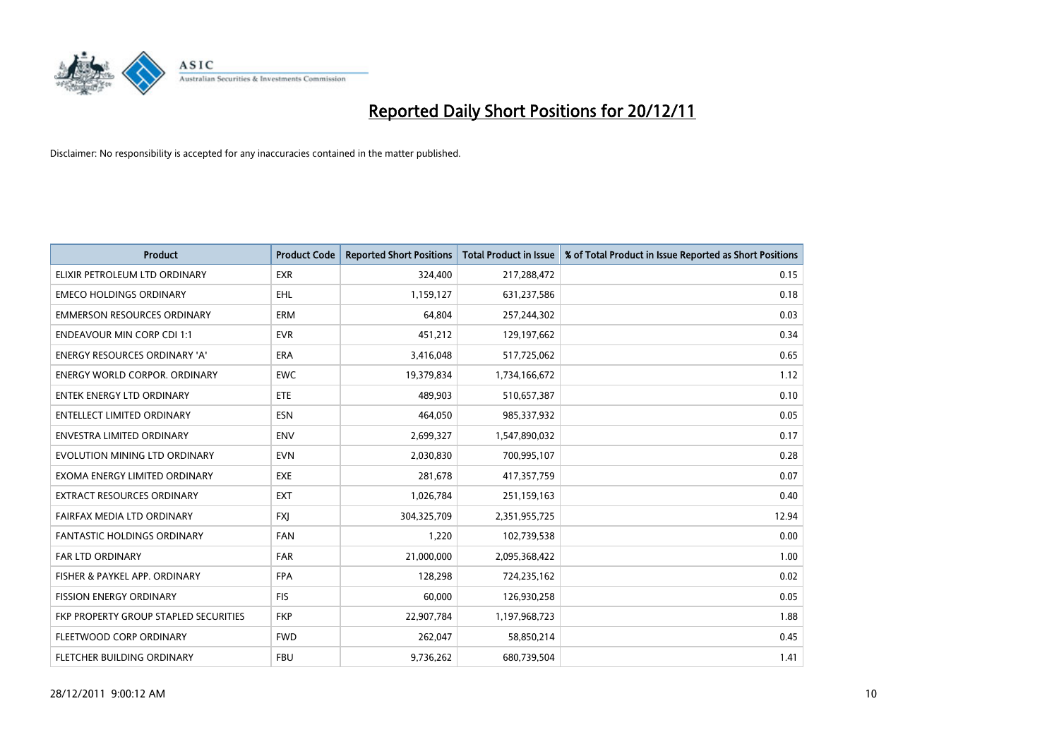

| <b>Product</b>                        | <b>Product Code</b> | <b>Reported Short Positions</b> | <b>Total Product in Issue</b> | % of Total Product in Issue Reported as Short Positions |
|---------------------------------------|---------------------|---------------------------------|-------------------------------|---------------------------------------------------------|
| ELIXIR PETROLEUM LTD ORDINARY         | <b>EXR</b>          | 324,400                         | 217,288,472                   | 0.15                                                    |
| <b>EMECO HOLDINGS ORDINARY</b>        | <b>EHL</b>          | 1,159,127                       | 631,237,586                   | 0.18                                                    |
| <b>EMMERSON RESOURCES ORDINARY</b>    | <b>ERM</b>          | 64.804                          | 257,244,302                   | 0.03                                                    |
| <b>ENDEAVOUR MIN CORP CDI 1:1</b>     | <b>EVR</b>          | 451,212                         | 129,197,662                   | 0.34                                                    |
| <b>ENERGY RESOURCES ORDINARY 'A'</b>  | <b>ERA</b>          | 3,416,048                       | 517,725,062                   | 0.65                                                    |
| <b>ENERGY WORLD CORPOR, ORDINARY</b>  | <b>EWC</b>          | 19,379,834                      | 1,734,166,672                 | 1.12                                                    |
| <b>ENTEK ENERGY LTD ORDINARY</b>      | ETE                 | 489,903                         | 510,657,387                   | 0.10                                                    |
| ENTELLECT LIMITED ORDINARY            | <b>ESN</b>          | 464,050                         | 985,337,932                   | 0.05                                                    |
| <b>ENVESTRA LIMITED ORDINARY</b>      | <b>ENV</b>          | 2,699,327                       | 1,547,890,032                 | 0.17                                                    |
| EVOLUTION MINING LTD ORDINARY         | <b>EVN</b>          | 2,030,830                       | 700,995,107                   | 0.28                                                    |
| EXOMA ENERGY LIMITED ORDINARY         | <b>EXE</b>          | 281,678                         | 417,357,759                   | 0.07                                                    |
| <b>EXTRACT RESOURCES ORDINARY</b>     | <b>EXT</b>          | 1,026,784                       | 251,159,163                   | 0.40                                                    |
| FAIRFAX MEDIA LTD ORDINARY            | <b>FXI</b>          | 304,325,709                     | 2,351,955,725                 | 12.94                                                   |
| <b>FANTASTIC HOLDINGS ORDINARY</b>    | <b>FAN</b>          | 1,220                           | 102,739,538                   | 0.00                                                    |
| FAR LTD ORDINARY                      | <b>FAR</b>          | 21,000,000                      | 2,095,368,422                 | 1.00                                                    |
| FISHER & PAYKEL APP. ORDINARY         | <b>FPA</b>          | 128,298                         | 724,235,162                   | 0.02                                                    |
| <b>FISSION ENERGY ORDINARY</b>        | <b>FIS</b>          | 60,000                          | 126,930,258                   | 0.05                                                    |
| FKP PROPERTY GROUP STAPLED SECURITIES | <b>FKP</b>          | 22,907,784                      | 1,197,968,723                 | 1.88                                                    |
| FLEETWOOD CORP ORDINARY               | <b>FWD</b>          | 262,047                         | 58,850,214                    | 0.45                                                    |
| FLETCHER BUILDING ORDINARY            | <b>FBU</b>          | 9,736,262                       | 680,739,504                   | 1.41                                                    |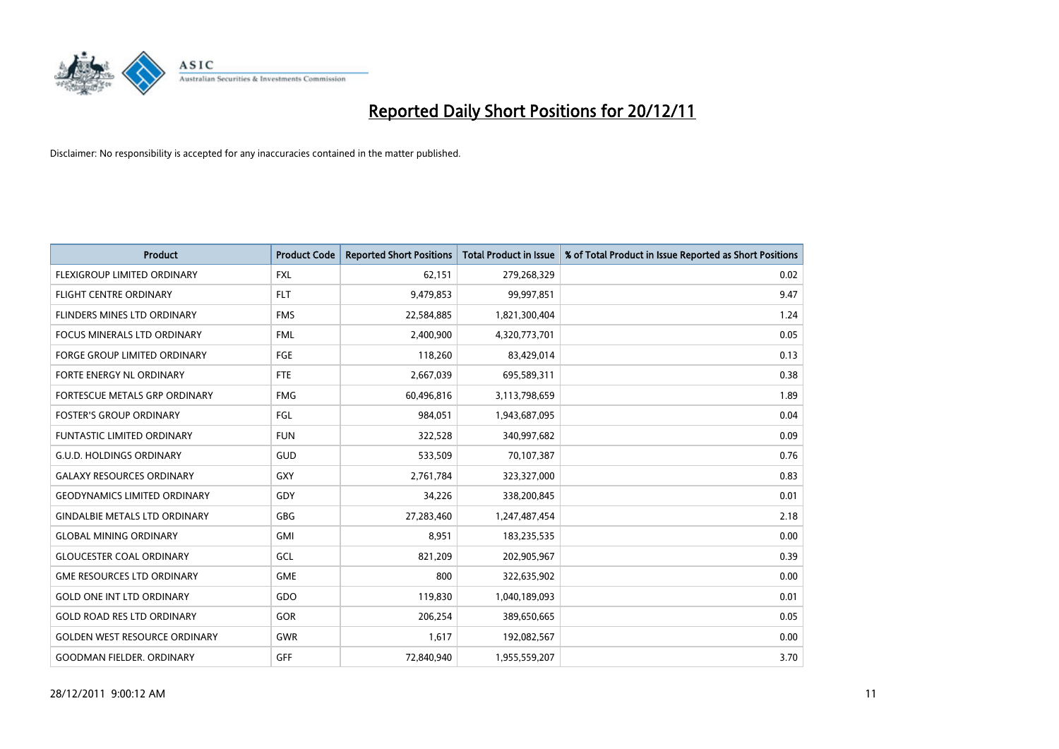

| <b>Product</b>                       | <b>Product Code</b> | <b>Reported Short Positions</b> | <b>Total Product in Issue</b> | % of Total Product in Issue Reported as Short Positions |
|--------------------------------------|---------------------|---------------------------------|-------------------------------|---------------------------------------------------------|
| FLEXIGROUP LIMITED ORDINARY          | <b>FXL</b>          | 62,151                          | 279,268,329                   | 0.02                                                    |
| FLIGHT CENTRE ORDINARY               | <b>FLT</b>          | 9,479,853                       | 99,997,851                    | 9.47                                                    |
| FLINDERS MINES LTD ORDINARY          | <b>FMS</b>          | 22,584,885                      | 1,821,300,404                 | 1.24                                                    |
| FOCUS MINERALS LTD ORDINARY          | <b>FML</b>          | 2,400,900                       | 4,320,773,701                 | 0.05                                                    |
| <b>FORGE GROUP LIMITED ORDINARY</b>  | FGE                 | 118,260                         | 83,429,014                    | 0.13                                                    |
| FORTE ENERGY NL ORDINARY             | <b>FTE</b>          | 2,667,039                       | 695,589,311                   | 0.38                                                    |
| FORTESCUE METALS GRP ORDINARY        | <b>FMG</b>          | 60,496,816                      | 3,113,798,659                 | 1.89                                                    |
| <b>FOSTER'S GROUP ORDINARY</b>       | FGL                 | 984,051                         | 1,943,687,095                 | 0.04                                                    |
| <b>FUNTASTIC LIMITED ORDINARY</b>    | <b>FUN</b>          | 322,528                         | 340,997,682                   | 0.09                                                    |
| <b>G.U.D. HOLDINGS ORDINARY</b>      | <b>GUD</b>          | 533,509                         | 70,107,387                    | 0.76                                                    |
| <b>GALAXY RESOURCES ORDINARY</b>     | GXY                 | 2,761,784                       | 323,327,000                   | 0.83                                                    |
| <b>GEODYNAMICS LIMITED ORDINARY</b>  | GDY                 | 34,226                          | 338,200,845                   | 0.01                                                    |
| <b>GINDALBIE METALS LTD ORDINARY</b> | <b>GBG</b>          | 27,283,460                      | 1,247,487,454                 | 2.18                                                    |
| <b>GLOBAL MINING ORDINARY</b>        | GMI                 | 8,951                           | 183,235,535                   | 0.00                                                    |
| <b>GLOUCESTER COAL ORDINARY</b>      | GCL                 | 821,209                         | 202,905,967                   | 0.39                                                    |
| <b>GME RESOURCES LTD ORDINARY</b>    | <b>GME</b>          | 800                             | 322,635,902                   | 0.00                                                    |
| <b>GOLD ONE INT LTD ORDINARY</b>     | GDO                 | 119,830                         | 1,040,189,093                 | 0.01                                                    |
| <b>GOLD ROAD RES LTD ORDINARY</b>    | GOR                 | 206,254                         | 389,650,665                   | 0.05                                                    |
| <b>GOLDEN WEST RESOURCE ORDINARY</b> | <b>GWR</b>          | 1,617                           | 192,082,567                   | 0.00                                                    |
| <b>GOODMAN FIELDER. ORDINARY</b>     | <b>GFF</b>          | 72,840,940                      | 1,955,559,207                 | 3.70                                                    |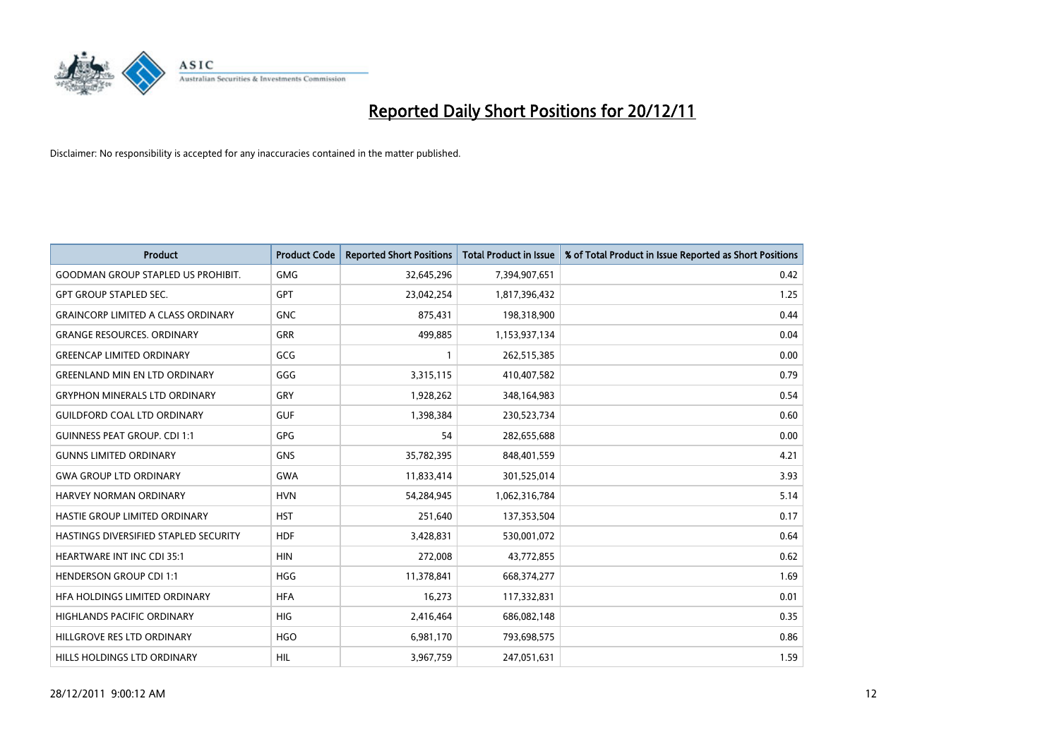

| <b>Product</b>                            | <b>Product Code</b> | <b>Reported Short Positions</b> | <b>Total Product in Issue</b> | % of Total Product in Issue Reported as Short Positions |
|-------------------------------------------|---------------------|---------------------------------|-------------------------------|---------------------------------------------------------|
| <b>GOODMAN GROUP STAPLED US PROHIBIT.</b> | <b>GMG</b>          | 32,645,296                      | 7,394,907,651                 | 0.42                                                    |
| <b>GPT GROUP STAPLED SEC.</b>             | <b>GPT</b>          | 23,042,254                      | 1,817,396,432                 | 1.25                                                    |
| <b>GRAINCORP LIMITED A CLASS ORDINARY</b> | <b>GNC</b>          | 875,431                         | 198,318,900                   | 0.44                                                    |
| <b>GRANGE RESOURCES. ORDINARY</b>         | <b>GRR</b>          | 499,885                         | 1,153,937,134                 | 0.04                                                    |
| <b>GREENCAP LIMITED ORDINARY</b>          | GCG                 | $\mathbf{1}$                    | 262,515,385                   | 0.00                                                    |
| <b>GREENLAND MIN EN LTD ORDINARY</b>      | GGG                 | 3,315,115                       | 410,407,582                   | 0.79                                                    |
| <b>GRYPHON MINERALS LTD ORDINARY</b>      | GRY                 | 1,928,262                       | 348,164,983                   | 0.54                                                    |
| <b>GUILDFORD COAL LTD ORDINARY</b>        | <b>GUF</b>          | 1,398,384                       | 230,523,734                   | 0.60                                                    |
| <b>GUINNESS PEAT GROUP. CDI 1:1</b>       | <b>GPG</b>          | 54                              | 282,655,688                   | 0.00                                                    |
| <b>GUNNS LIMITED ORDINARY</b>             | <b>GNS</b>          | 35,782,395                      | 848,401,559                   | 4.21                                                    |
| <b>GWA GROUP LTD ORDINARY</b>             | <b>GWA</b>          | 11,833,414                      | 301,525,014                   | 3.93                                                    |
| <b>HARVEY NORMAN ORDINARY</b>             | <b>HVN</b>          | 54,284,945                      | 1,062,316,784                 | 5.14                                                    |
| <b>HASTIE GROUP LIMITED ORDINARY</b>      | <b>HST</b>          | 251,640                         | 137,353,504                   | 0.17                                                    |
| HASTINGS DIVERSIFIED STAPLED SECURITY     | <b>HDF</b>          | 3,428,831                       | 530,001,072                   | 0.64                                                    |
| <b>HEARTWARE INT INC CDI 35:1</b>         | <b>HIN</b>          | 272,008                         | 43,772,855                    | 0.62                                                    |
| <b>HENDERSON GROUP CDI 1:1</b>            | <b>HGG</b>          | 11,378,841                      | 668,374,277                   | 1.69                                                    |
| HFA HOLDINGS LIMITED ORDINARY             | <b>HFA</b>          | 16,273                          | 117,332,831                   | 0.01                                                    |
| HIGHLANDS PACIFIC ORDINARY                | <b>HIG</b>          | 2,416,464                       | 686,082,148                   | 0.35                                                    |
| HILLGROVE RES LTD ORDINARY                | <b>HGO</b>          | 6,981,170                       | 793,698,575                   | 0.86                                                    |
| HILLS HOLDINGS LTD ORDINARY               | <b>HIL</b>          | 3,967,759                       | 247,051,631                   | 1.59                                                    |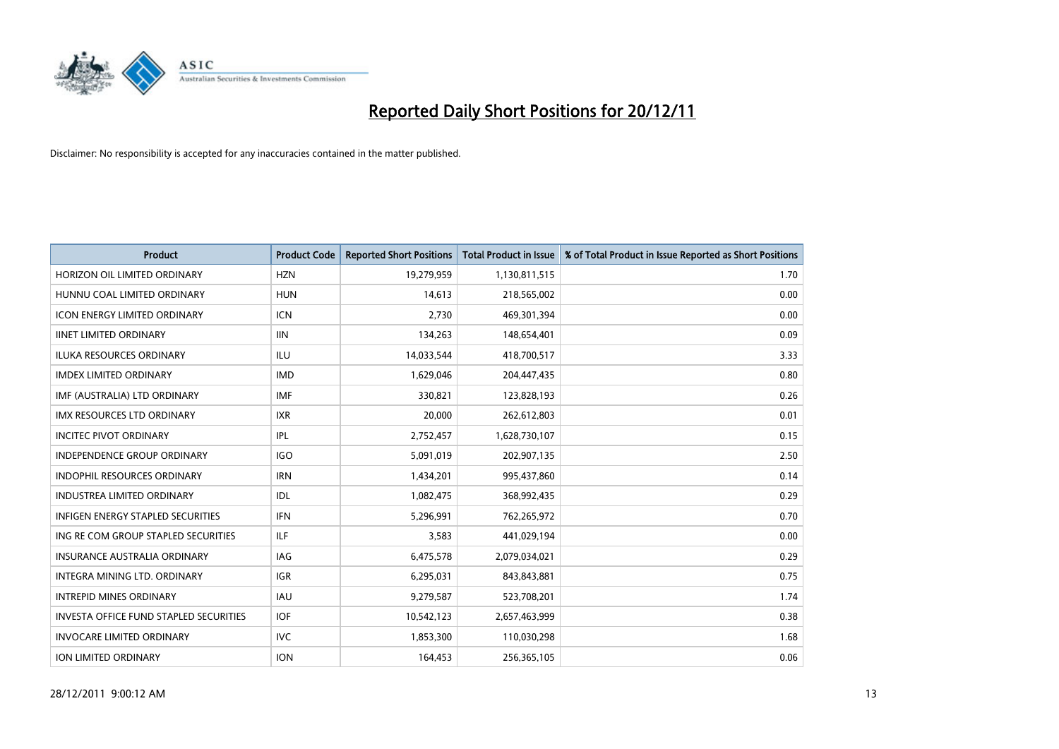

| <b>Product</b>                                | <b>Product Code</b> | <b>Reported Short Positions</b> | <b>Total Product in Issue</b> | % of Total Product in Issue Reported as Short Positions |
|-----------------------------------------------|---------------------|---------------------------------|-------------------------------|---------------------------------------------------------|
| HORIZON OIL LIMITED ORDINARY                  | <b>HZN</b>          | 19,279,959                      | 1,130,811,515                 | 1.70                                                    |
| HUNNU COAL LIMITED ORDINARY                   | <b>HUN</b>          | 14,613                          | 218,565,002                   | 0.00                                                    |
| <b>ICON ENERGY LIMITED ORDINARY</b>           | <b>ICN</b>          | 2.730                           | 469,301,394                   | 0.00                                                    |
| <b>IINET LIMITED ORDINARY</b>                 | <b>IIN</b>          | 134,263                         | 148,654,401                   | 0.09                                                    |
| <b>ILUKA RESOURCES ORDINARY</b>               | ILU                 | 14,033,544                      | 418,700,517                   | 3.33                                                    |
| <b>IMDEX LIMITED ORDINARY</b>                 | <b>IMD</b>          | 1,629,046                       | 204,447,435                   | 0.80                                                    |
| IMF (AUSTRALIA) LTD ORDINARY                  | <b>IMF</b>          | 330,821                         | 123,828,193                   | 0.26                                                    |
| IMX RESOURCES LTD ORDINARY                    | <b>IXR</b>          | 20,000                          | 262,612,803                   | 0.01                                                    |
| <b>INCITEC PIVOT ORDINARY</b>                 | IPL                 | 2,752,457                       | 1,628,730,107                 | 0.15                                                    |
| <b>INDEPENDENCE GROUP ORDINARY</b>            | <b>IGO</b>          | 5,091,019                       | 202,907,135                   | 2.50                                                    |
| INDOPHIL RESOURCES ORDINARY                   | <b>IRN</b>          | 1,434,201                       | 995,437,860                   | 0.14                                                    |
| INDUSTREA LIMITED ORDINARY                    | IDL                 | 1,082,475                       | 368,992,435                   | 0.29                                                    |
| <b>INFIGEN ENERGY STAPLED SECURITIES</b>      | <b>IFN</b>          | 5,296,991                       | 762,265,972                   | 0.70                                                    |
| ING RE COM GROUP STAPLED SECURITIES           | ILF                 | 3,583                           | 441,029,194                   | 0.00                                                    |
| <b>INSURANCE AUSTRALIA ORDINARY</b>           | IAG                 | 6,475,578                       | 2,079,034,021                 | 0.29                                                    |
| <b>INTEGRA MINING LTD, ORDINARY</b>           | <b>IGR</b>          | 6,295,031                       | 843,843,881                   | 0.75                                                    |
| <b>INTREPID MINES ORDINARY</b>                | <b>IAU</b>          | 9,279,587                       | 523,708,201                   | 1.74                                                    |
| <b>INVESTA OFFICE FUND STAPLED SECURITIES</b> | <b>IOF</b>          | 10,542,123                      | 2,657,463,999                 | 0.38                                                    |
| <b>INVOCARE LIMITED ORDINARY</b>              | IVC                 | 1,853,300                       | 110,030,298                   | 1.68                                                    |
| <b>ION LIMITED ORDINARY</b>                   | <b>ION</b>          | 164,453                         | 256,365,105                   | 0.06                                                    |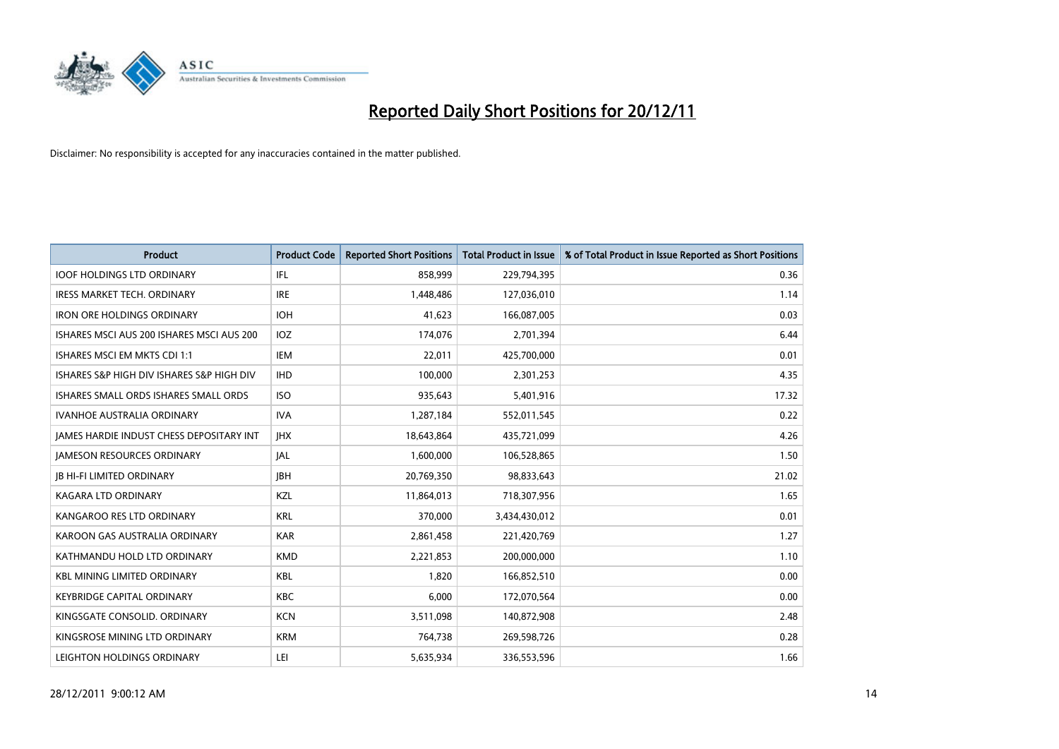

| <b>Product</b>                                  | <b>Product Code</b> | <b>Reported Short Positions</b> | <b>Total Product in Issue</b> | % of Total Product in Issue Reported as Short Positions |
|-------------------------------------------------|---------------------|---------------------------------|-------------------------------|---------------------------------------------------------|
| <b>IOOF HOLDINGS LTD ORDINARY</b>               | IFL                 | 858,999                         | 229,794,395                   | 0.36                                                    |
| <b>IRESS MARKET TECH. ORDINARY</b>              | <b>IRE</b>          | 1,448,486                       | 127,036,010                   | 1.14                                                    |
| <b>IRON ORE HOLDINGS ORDINARY</b>               | <b>IOH</b>          | 41,623                          | 166,087,005                   | 0.03                                                    |
| ISHARES MSCI AUS 200 ISHARES MSCI AUS 200       | <b>IOZ</b>          | 174,076                         | 2,701,394                     | 6.44                                                    |
| ISHARES MSCI EM MKTS CDI 1:1                    | <b>IEM</b>          | 22,011                          | 425,700,000                   | 0.01                                                    |
| ISHARES S&P HIGH DIV ISHARES S&P HIGH DIV       | <b>IHD</b>          | 100,000                         | 2,301,253                     | 4.35                                                    |
| ISHARES SMALL ORDS ISHARES SMALL ORDS           | <b>ISO</b>          | 935,643                         | 5,401,916                     | 17.32                                                   |
| <b>IVANHOE AUSTRALIA ORDINARY</b>               | <b>IVA</b>          | 1,287,184                       | 552,011,545                   | 0.22                                                    |
| <b>JAMES HARDIE INDUST CHESS DEPOSITARY INT</b> | <b>IHX</b>          | 18,643,864                      | 435,721,099                   | 4.26                                                    |
| <b>JAMESON RESOURCES ORDINARY</b>               | <b>JAL</b>          | 1,600,000                       | 106,528,865                   | 1.50                                                    |
| <b>JB HI-FI LIMITED ORDINARY</b>                | <b>IBH</b>          | 20,769,350                      | 98,833,643                    | 21.02                                                   |
| <b>KAGARA LTD ORDINARY</b>                      | <b>KZL</b>          | 11,864,013                      | 718,307,956                   | 1.65                                                    |
| KANGAROO RES LTD ORDINARY                       | <b>KRL</b>          | 370,000                         | 3,434,430,012                 | 0.01                                                    |
| KAROON GAS AUSTRALIA ORDINARY                   | <b>KAR</b>          | 2,861,458                       | 221,420,769                   | 1.27                                                    |
| KATHMANDU HOLD LTD ORDINARY                     | <b>KMD</b>          | 2,221,853                       | 200,000,000                   | 1.10                                                    |
| <b>KBL MINING LIMITED ORDINARY</b>              | <b>KBL</b>          | 1,820                           | 166,852,510                   | 0.00                                                    |
| <b>KEYBRIDGE CAPITAL ORDINARY</b>               | KBC                 | 6,000                           | 172,070,564                   | 0.00                                                    |
| KINGSGATE CONSOLID. ORDINARY                    | <b>KCN</b>          | 3,511,098                       | 140,872,908                   | 2.48                                                    |
| KINGSROSE MINING LTD ORDINARY                   | <b>KRM</b>          | 764,738                         | 269,598,726                   | 0.28                                                    |
| LEIGHTON HOLDINGS ORDINARY                      | LEI                 | 5,635,934                       | 336,553,596                   | 1.66                                                    |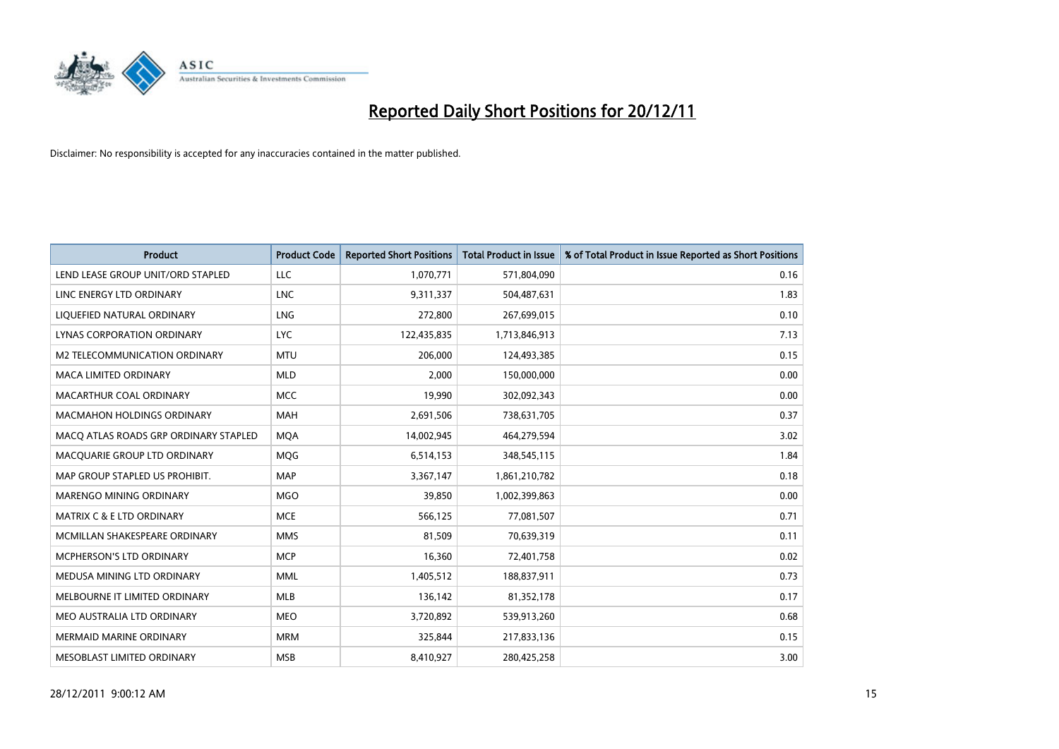

| <b>Product</b>                        | <b>Product Code</b> | <b>Reported Short Positions</b> | <b>Total Product in Issue</b> | % of Total Product in Issue Reported as Short Positions |
|---------------------------------------|---------------------|---------------------------------|-------------------------------|---------------------------------------------------------|
| LEND LEASE GROUP UNIT/ORD STAPLED     | <b>LLC</b>          | 1,070,771                       | 571,804,090                   | 0.16                                                    |
| LINC ENERGY LTD ORDINARY              | <b>LNC</b>          | 9,311,337                       | 504,487,631                   | 1.83                                                    |
| LIQUEFIED NATURAL ORDINARY            | <b>LNG</b>          | 272,800                         | 267,699,015                   | 0.10                                                    |
| <b>LYNAS CORPORATION ORDINARY</b>     | <b>LYC</b>          | 122,435,835                     | 1,713,846,913                 | 7.13                                                    |
| M2 TELECOMMUNICATION ORDINARY         | <b>MTU</b>          | 206.000                         | 124,493,385                   | 0.15                                                    |
| <b>MACA LIMITED ORDINARY</b>          | <b>MLD</b>          | 2,000                           | 150,000,000                   | 0.00                                                    |
| MACARTHUR COAL ORDINARY               | <b>MCC</b>          | 19.990                          | 302,092,343                   | 0.00                                                    |
| <b>MACMAHON HOLDINGS ORDINARY</b>     | <b>MAH</b>          | 2,691,506                       | 738,631,705                   | 0.37                                                    |
| MACQ ATLAS ROADS GRP ORDINARY STAPLED | <b>MQA</b>          | 14,002,945                      | 464,279,594                   | 3.02                                                    |
| MACOUARIE GROUP LTD ORDINARY          | <b>MOG</b>          | 6,514,153                       | 348,545,115                   | 1.84                                                    |
| MAP GROUP STAPLED US PROHIBIT.        | <b>MAP</b>          | 3,367,147                       | 1,861,210,782                 | 0.18                                                    |
| MARENGO MINING ORDINARY               | <b>MGO</b>          | 39,850                          | 1,002,399,863                 | 0.00                                                    |
| <b>MATRIX C &amp; E LTD ORDINARY</b>  | <b>MCE</b>          | 566,125                         | 77,081,507                    | 0.71                                                    |
| MCMILLAN SHAKESPEARE ORDINARY         | <b>MMS</b>          | 81,509                          | 70,639,319                    | 0.11                                                    |
| MCPHERSON'S LTD ORDINARY              | <b>MCP</b>          | 16,360                          | 72,401,758                    | 0.02                                                    |
| MEDUSA MINING LTD ORDINARY            | <b>MML</b>          | 1,405,512                       | 188,837,911                   | 0.73                                                    |
| MELBOURNE IT LIMITED ORDINARY         | <b>MLB</b>          | 136,142                         | 81,352,178                    | 0.17                                                    |
| MEO AUSTRALIA LTD ORDINARY            | <b>MEO</b>          | 3,720,892                       | 539,913,260                   | 0.68                                                    |
| <b>MERMAID MARINE ORDINARY</b>        | <b>MRM</b>          | 325,844                         | 217,833,136                   | 0.15                                                    |
| <b>MESOBLAST LIMITED ORDINARY</b>     | <b>MSB</b>          | 8,410,927                       | 280.425.258                   | 3.00                                                    |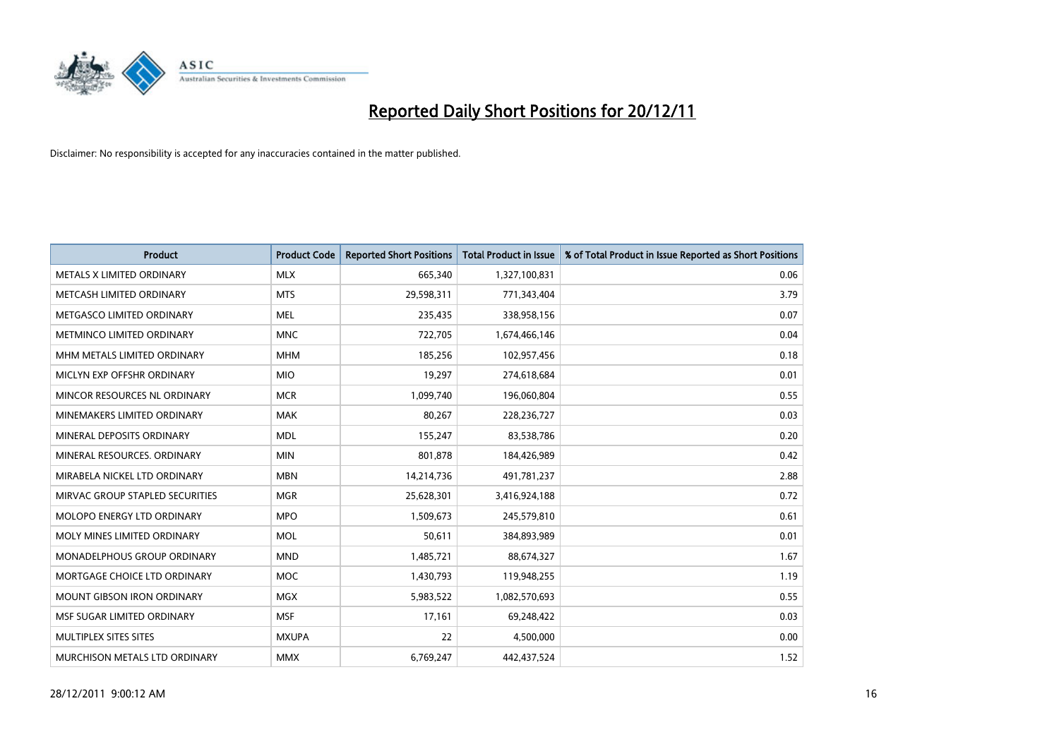

| <b>Product</b>                  | <b>Product Code</b> | <b>Reported Short Positions</b> | <b>Total Product in Issue</b> | % of Total Product in Issue Reported as Short Positions |
|---------------------------------|---------------------|---------------------------------|-------------------------------|---------------------------------------------------------|
| METALS X LIMITED ORDINARY       | <b>MLX</b>          | 665,340                         | 1,327,100,831                 | 0.06                                                    |
| METCASH LIMITED ORDINARY        | <b>MTS</b>          | 29,598,311                      | 771,343,404                   | 3.79                                                    |
| METGASCO LIMITED ORDINARY       | <b>MEL</b>          | 235,435                         | 338,958,156                   | 0.07                                                    |
| METMINCO LIMITED ORDINARY       | <b>MNC</b>          | 722,705                         | 1,674,466,146                 | 0.04                                                    |
| MHM METALS LIMITED ORDINARY     | <b>MHM</b>          | 185,256                         | 102,957,456                   | 0.18                                                    |
| MICLYN EXP OFFSHR ORDINARY      | <b>MIO</b>          | 19,297                          | 274,618,684                   | 0.01                                                    |
| MINCOR RESOURCES NL ORDINARY    | <b>MCR</b>          | 1,099,740                       | 196,060,804                   | 0.55                                                    |
| MINEMAKERS LIMITED ORDINARY     | <b>MAK</b>          | 80,267                          | 228,236,727                   | 0.03                                                    |
| MINERAL DEPOSITS ORDINARY       | <b>MDL</b>          | 155,247                         | 83,538,786                    | 0.20                                                    |
| MINERAL RESOURCES, ORDINARY     | <b>MIN</b>          | 801,878                         | 184,426,989                   | 0.42                                                    |
| MIRABELA NICKEL LTD ORDINARY    | <b>MBN</b>          | 14,214,736                      | 491,781,237                   | 2.88                                                    |
| MIRVAC GROUP STAPLED SECURITIES | <b>MGR</b>          | 25,628,301                      | 3,416,924,188                 | 0.72                                                    |
| MOLOPO ENERGY LTD ORDINARY      | <b>MPO</b>          | 1,509,673                       | 245,579,810                   | 0.61                                                    |
| MOLY MINES LIMITED ORDINARY     | <b>MOL</b>          | 50,611                          | 384,893,989                   | 0.01                                                    |
| MONADELPHOUS GROUP ORDINARY     | <b>MND</b>          | 1,485,721                       | 88,674,327                    | 1.67                                                    |
| MORTGAGE CHOICE LTD ORDINARY    | <b>MOC</b>          | 1,430,793                       | 119,948,255                   | 1.19                                                    |
| MOUNT GIBSON IRON ORDINARY      | <b>MGX</b>          | 5,983,522                       | 1,082,570,693                 | 0.55                                                    |
| MSF SUGAR LIMITED ORDINARY      | <b>MSF</b>          | 17,161                          | 69,248,422                    | 0.03                                                    |
| MULTIPLEX SITES SITES           | <b>MXUPA</b>        | 22                              | 4,500,000                     | 0.00                                                    |
| MURCHISON METALS LTD ORDINARY   | <b>MMX</b>          | 6,769,247                       | 442,437,524                   | 1.52                                                    |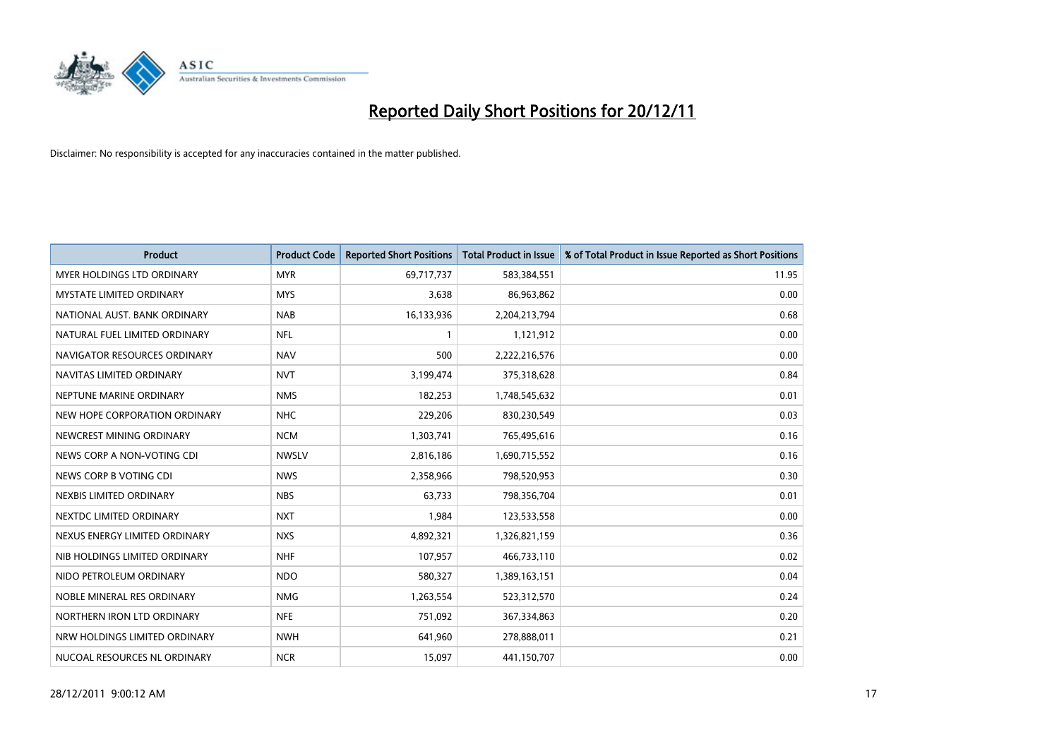

| <b>Product</b>                    | <b>Product Code</b> | <b>Reported Short Positions</b> | <b>Total Product in Issue</b> | % of Total Product in Issue Reported as Short Positions |
|-----------------------------------|---------------------|---------------------------------|-------------------------------|---------------------------------------------------------|
| <b>MYER HOLDINGS LTD ORDINARY</b> | <b>MYR</b>          | 69,717,737                      | 583,384,551                   | 11.95                                                   |
| MYSTATE LIMITED ORDINARY          | <b>MYS</b>          | 3,638                           | 86,963,862                    | 0.00                                                    |
| NATIONAL AUST. BANK ORDINARY      | <b>NAB</b>          | 16,133,936                      | 2,204,213,794                 | 0.68                                                    |
| NATURAL FUEL LIMITED ORDINARY     | <b>NFL</b>          | 1                               | 1,121,912                     | 0.00                                                    |
| NAVIGATOR RESOURCES ORDINARY      | <b>NAV</b>          | 500                             | 2,222,216,576                 | 0.00                                                    |
| NAVITAS LIMITED ORDINARY          | <b>NVT</b>          | 3,199,474                       | 375,318,628                   | 0.84                                                    |
| NEPTUNE MARINE ORDINARY           | <b>NMS</b>          | 182,253                         | 1,748,545,632                 | 0.01                                                    |
| NEW HOPE CORPORATION ORDINARY     | <b>NHC</b>          | 229,206                         | 830,230,549                   | 0.03                                                    |
| NEWCREST MINING ORDINARY          | <b>NCM</b>          | 1,303,741                       | 765,495,616                   | 0.16                                                    |
| NEWS CORP A NON-VOTING CDI        | <b>NWSLV</b>        | 2,816,186                       | 1,690,715,552                 | 0.16                                                    |
| NEWS CORP B VOTING CDI            | <b>NWS</b>          | 2,358,966                       | 798,520,953                   | 0.30                                                    |
| NEXBIS LIMITED ORDINARY           | <b>NBS</b>          | 63,733                          | 798,356,704                   | 0.01                                                    |
| NEXTDC LIMITED ORDINARY           | <b>NXT</b>          | 1,984                           | 123,533,558                   | 0.00                                                    |
| NEXUS ENERGY LIMITED ORDINARY     | <b>NXS</b>          | 4,892,321                       | 1,326,821,159                 | 0.36                                                    |
| NIB HOLDINGS LIMITED ORDINARY     | <b>NHF</b>          | 107,957                         | 466,733,110                   | 0.02                                                    |
| NIDO PETROLEUM ORDINARY           | <b>NDO</b>          | 580,327                         | 1,389,163,151                 | 0.04                                                    |
| NOBLE MINERAL RES ORDINARY        | <b>NMG</b>          | 1,263,554                       | 523,312,570                   | 0.24                                                    |
| NORTHERN IRON LTD ORDINARY        | <b>NFE</b>          | 751,092                         | 367,334,863                   | 0.20                                                    |
| NRW HOLDINGS LIMITED ORDINARY     | <b>NWH</b>          | 641,960                         | 278,888,011                   | 0.21                                                    |
| NUCOAL RESOURCES NL ORDINARY      | <b>NCR</b>          | 15,097                          | 441,150,707                   | 0.00                                                    |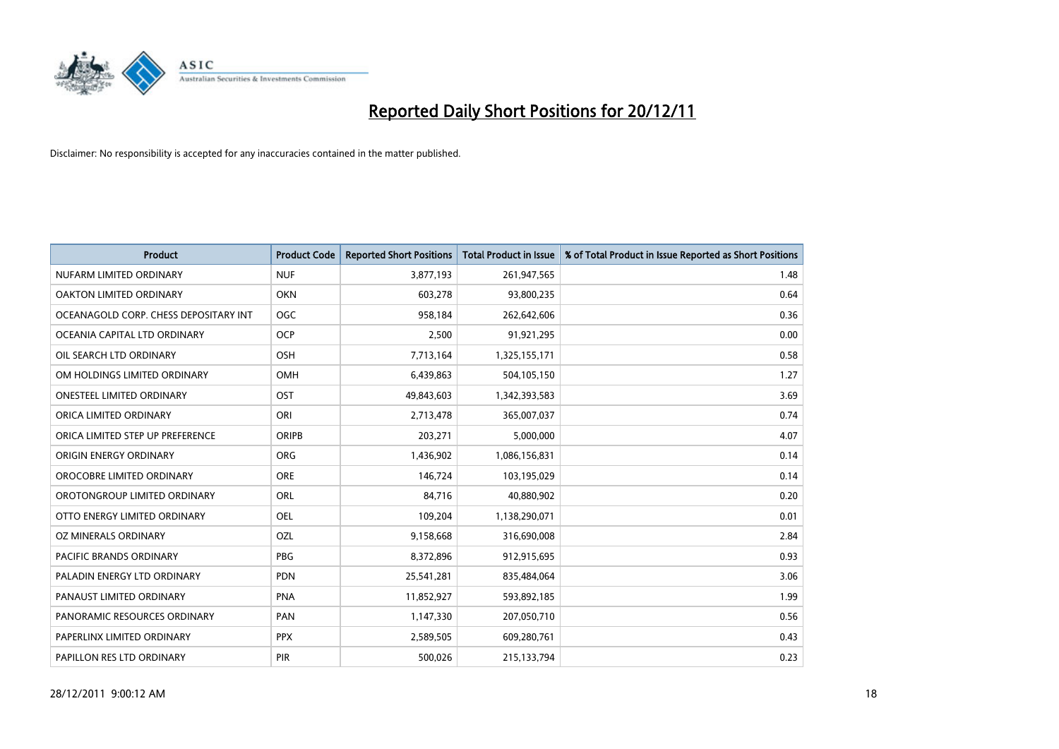

| <b>Product</b>                        | <b>Product Code</b> | <b>Reported Short Positions</b> | <b>Total Product in Issue</b> | % of Total Product in Issue Reported as Short Positions |
|---------------------------------------|---------------------|---------------------------------|-------------------------------|---------------------------------------------------------|
| NUFARM LIMITED ORDINARY               | <b>NUF</b>          | 3,877,193                       | 261,947,565                   | 1.48                                                    |
| OAKTON LIMITED ORDINARY               | <b>OKN</b>          | 603,278                         | 93,800,235                    | 0.64                                                    |
| OCEANAGOLD CORP. CHESS DEPOSITARY INT | <b>OGC</b>          | 958,184                         | 262,642,606                   | 0.36                                                    |
| OCEANIA CAPITAL LTD ORDINARY          | <b>OCP</b>          | 2,500                           | 91,921,295                    | 0.00                                                    |
| OIL SEARCH LTD ORDINARY               | <b>OSH</b>          | 7,713,164                       | 1,325,155,171                 | 0.58                                                    |
| OM HOLDINGS LIMITED ORDINARY          | OMH                 | 6,439,863                       | 504,105,150                   | 1.27                                                    |
| ONESTEEL LIMITED ORDINARY             | OST                 | 49,843,603                      | 1,342,393,583                 | 3.69                                                    |
| ORICA LIMITED ORDINARY                | ORI                 | 2,713,478                       | 365,007,037                   | 0.74                                                    |
| ORICA LIMITED STEP UP PREFERENCE      | <b>ORIPB</b>        | 203,271                         | 5,000,000                     | 4.07                                                    |
| ORIGIN ENERGY ORDINARY                | <b>ORG</b>          | 1,436,902                       | 1,086,156,831                 | 0.14                                                    |
| OROCOBRE LIMITED ORDINARY             | <b>ORE</b>          | 146,724                         | 103,195,029                   | 0.14                                                    |
| OROTONGROUP LIMITED ORDINARY          | <b>ORL</b>          | 84,716                          | 40,880,902                    | 0.20                                                    |
| OTTO ENERGY LIMITED ORDINARY          | OEL                 | 109,204                         | 1,138,290,071                 | 0.01                                                    |
| OZ MINERALS ORDINARY                  | OZL                 | 9,158,668                       | 316,690,008                   | 2.84                                                    |
| <b>PACIFIC BRANDS ORDINARY</b>        | PBG                 | 8,372,896                       | 912,915,695                   | 0.93                                                    |
| PALADIN ENERGY LTD ORDINARY           | <b>PDN</b>          | 25,541,281                      | 835,484,064                   | 3.06                                                    |
| PANAUST LIMITED ORDINARY              | <b>PNA</b>          | 11,852,927                      | 593,892,185                   | 1.99                                                    |
| PANORAMIC RESOURCES ORDINARY          | PAN                 | 1,147,330                       | 207,050,710                   | 0.56                                                    |
| PAPERLINX LIMITED ORDINARY            | <b>PPX</b>          | 2,589,505                       | 609,280,761                   | 0.43                                                    |
| PAPILLON RES LTD ORDINARY             | PIR                 | 500,026                         | 215,133,794                   | 0.23                                                    |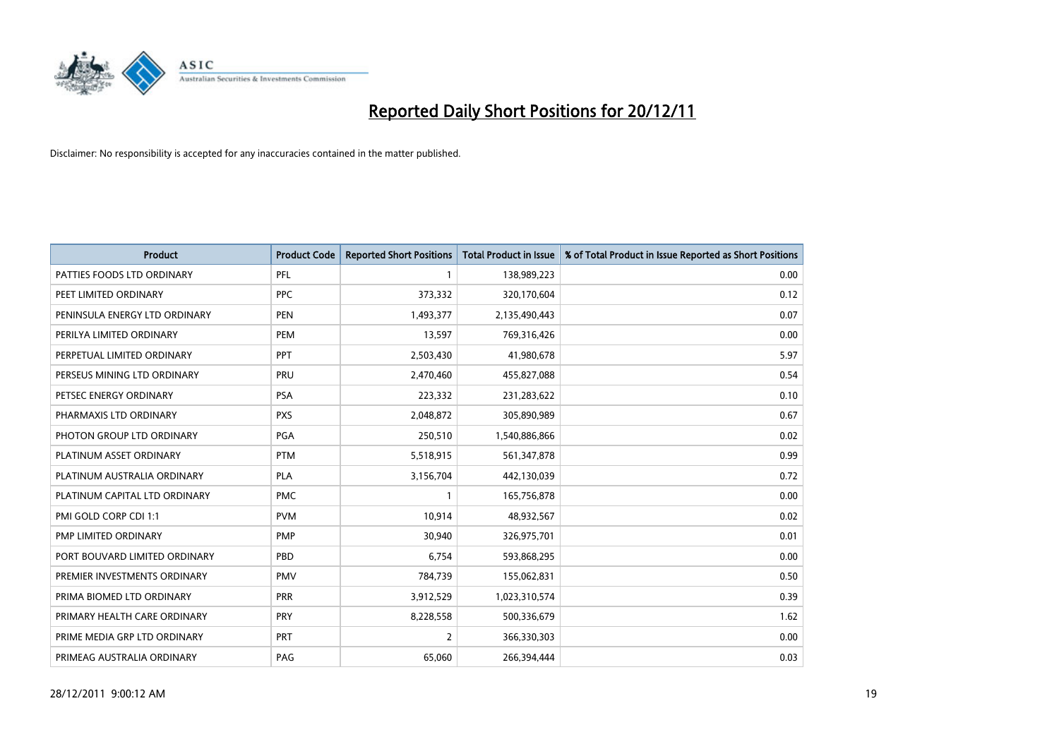

| <b>Product</b>                | <b>Product Code</b> | <b>Reported Short Positions</b> | <b>Total Product in Issue</b> | % of Total Product in Issue Reported as Short Positions |
|-------------------------------|---------------------|---------------------------------|-------------------------------|---------------------------------------------------------|
| PATTIES FOODS LTD ORDINARY    | PFL                 |                                 | 138,989,223                   | 0.00                                                    |
| PEET LIMITED ORDINARY         | <b>PPC</b>          | 373,332                         | 320,170,604                   | 0.12                                                    |
| PENINSULA ENERGY LTD ORDINARY | <b>PEN</b>          | 1,493,377                       | 2,135,490,443                 | 0.07                                                    |
| PERILYA LIMITED ORDINARY      | PEM                 | 13,597                          | 769,316,426                   | 0.00                                                    |
| PERPETUAL LIMITED ORDINARY    | <b>PPT</b>          | 2,503,430                       | 41,980,678                    | 5.97                                                    |
| PERSEUS MINING LTD ORDINARY   | PRU                 | 2,470,460                       | 455,827,088                   | 0.54                                                    |
| PETSEC ENERGY ORDINARY        | <b>PSA</b>          | 223,332                         | 231,283,622                   | 0.10                                                    |
| PHARMAXIS LTD ORDINARY        | <b>PXS</b>          | 2,048,872                       | 305,890,989                   | 0.67                                                    |
| PHOTON GROUP LTD ORDINARY     | PGA                 | 250,510                         | 1,540,886,866                 | 0.02                                                    |
| PLATINUM ASSET ORDINARY       | <b>PTM</b>          | 5,518,915                       | 561,347,878                   | 0.99                                                    |
| PLATINUM AUSTRALIA ORDINARY   | <b>PLA</b>          | 3,156,704                       | 442,130,039                   | 0.72                                                    |
| PLATINUM CAPITAL LTD ORDINARY | <b>PMC</b>          |                                 | 165,756,878                   | 0.00                                                    |
| PMI GOLD CORP CDI 1:1         | <b>PVM</b>          | 10,914                          | 48,932,567                    | 0.02                                                    |
| PMP LIMITED ORDINARY          | <b>PMP</b>          | 30,940                          | 326,975,701                   | 0.01                                                    |
| PORT BOUVARD LIMITED ORDINARY | PBD                 | 6,754                           | 593,868,295                   | 0.00                                                    |
| PREMIER INVESTMENTS ORDINARY  | <b>PMV</b>          | 784,739                         | 155,062,831                   | 0.50                                                    |
| PRIMA BIOMED LTD ORDINARY     | <b>PRR</b>          | 3,912,529                       | 1,023,310,574                 | 0.39                                                    |
| PRIMARY HEALTH CARE ORDINARY  | <b>PRY</b>          | 8,228,558                       | 500,336,679                   | 1.62                                                    |
| PRIME MEDIA GRP LTD ORDINARY  | <b>PRT</b>          | $\overline{2}$                  | 366,330,303                   | 0.00                                                    |
| PRIMEAG AUSTRALIA ORDINARY    | PAG                 | 65,060                          | 266,394,444                   | 0.03                                                    |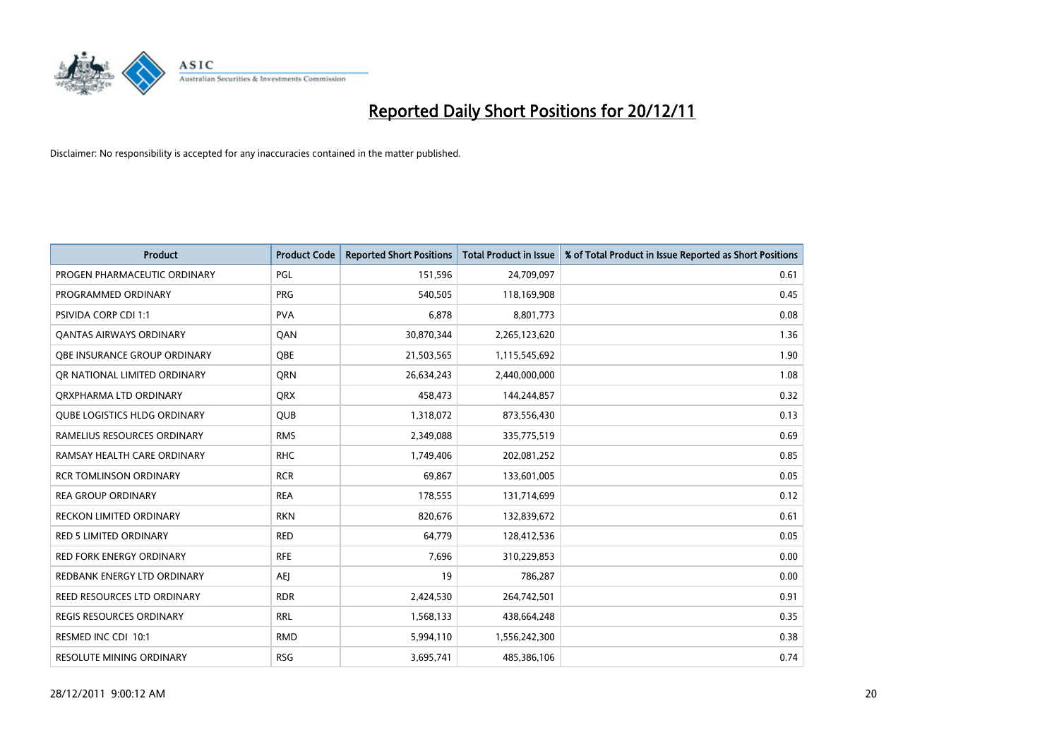

| <b>Product</b>                      | <b>Product Code</b> | <b>Reported Short Positions</b> | <b>Total Product in Issue</b> | % of Total Product in Issue Reported as Short Positions |
|-------------------------------------|---------------------|---------------------------------|-------------------------------|---------------------------------------------------------|
| PROGEN PHARMACEUTIC ORDINARY        | PGL                 | 151,596                         | 24,709,097                    | 0.61                                                    |
| PROGRAMMED ORDINARY                 | <b>PRG</b>          | 540,505                         | 118,169,908                   | 0.45                                                    |
| <b>PSIVIDA CORP CDI 1:1</b>         | <b>PVA</b>          | 6,878                           | 8,801,773                     | 0.08                                                    |
| <b>QANTAS AIRWAYS ORDINARY</b>      | QAN                 | 30,870,344                      | 2,265,123,620                 | 1.36                                                    |
| <b>OBE INSURANCE GROUP ORDINARY</b> | <b>OBE</b>          | 21,503,565                      | 1,115,545,692                 | 1.90                                                    |
| OR NATIONAL LIMITED ORDINARY        | QRN                 | 26,634,243                      | 2,440,000,000                 | 1.08                                                    |
| ORXPHARMA LTD ORDINARY              | <b>QRX</b>          | 458,473                         | 144,244,857                   | 0.32                                                    |
| <b>QUBE LOGISTICS HLDG ORDINARY</b> | QUB                 | 1,318,072                       | 873,556,430                   | 0.13                                                    |
| RAMELIUS RESOURCES ORDINARY         | <b>RMS</b>          | 2,349,088                       | 335,775,519                   | 0.69                                                    |
| RAMSAY HEALTH CARE ORDINARY         | <b>RHC</b>          | 1,749,406                       | 202,081,252                   | 0.85                                                    |
| <b>RCR TOMLINSON ORDINARY</b>       | <b>RCR</b>          | 69,867                          | 133,601,005                   | 0.05                                                    |
| <b>REA GROUP ORDINARY</b>           | <b>REA</b>          | 178,555                         | 131,714,699                   | 0.12                                                    |
| RECKON LIMITED ORDINARY             | <b>RKN</b>          | 820,676                         | 132,839,672                   | 0.61                                                    |
| <b>RED 5 LIMITED ORDINARY</b>       | <b>RED</b>          | 64,779                          | 128,412,536                   | 0.05                                                    |
| <b>RED FORK ENERGY ORDINARY</b>     | <b>RFE</b>          | 7,696                           | 310,229,853                   | 0.00                                                    |
| REDBANK ENERGY LTD ORDINARY         | AEI                 | 19                              | 786,287                       | 0.00                                                    |
| REED RESOURCES LTD ORDINARY         | <b>RDR</b>          | 2,424,530                       | 264,742,501                   | 0.91                                                    |
| REGIS RESOURCES ORDINARY            | <b>RRL</b>          | 1,568,133                       | 438,664,248                   | 0.35                                                    |
| RESMED INC CDI 10:1                 | <b>RMD</b>          | 5,994,110                       | 1,556,242,300                 | 0.38                                                    |
| RESOLUTE MINING ORDINARY            | <b>RSG</b>          | 3,695,741                       | 485,386,106                   | 0.74                                                    |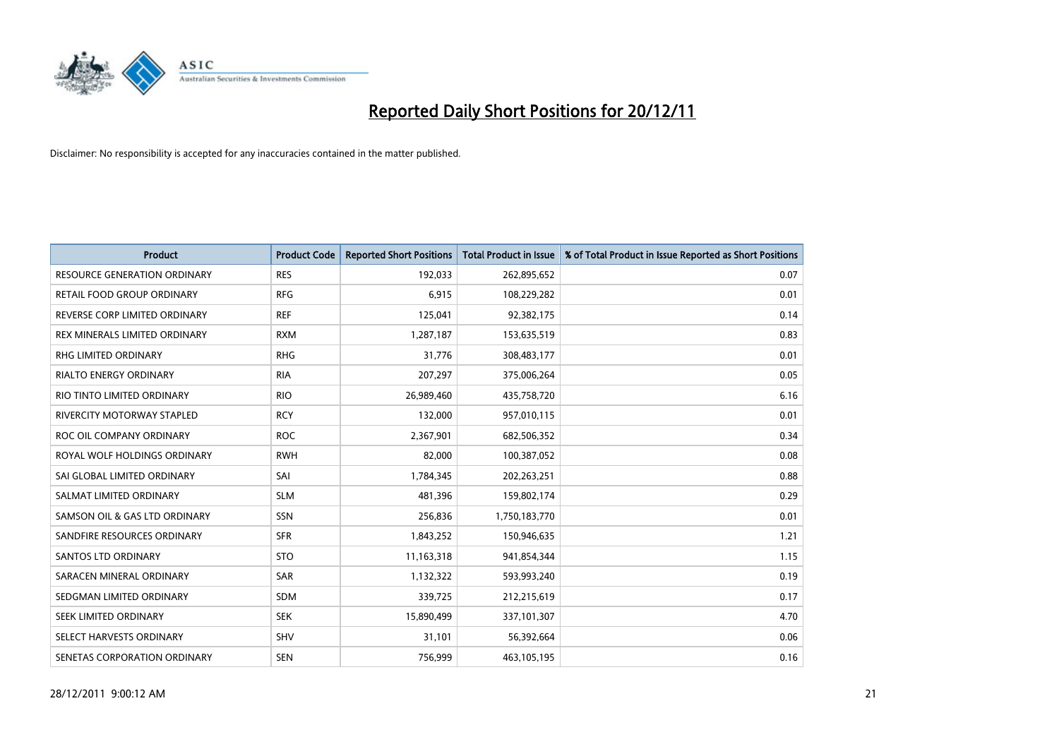

| <b>Product</b>                      | <b>Product Code</b> | <b>Reported Short Positions</b> | <b>Total Product in Issue</b> | % of Total Product in Issue Reported as Short Positions |
|-------------------------------------|---------------------|---------------------------------|-------------------------------|---------------------------------------------------------|
| <b>RESOURCE GENERATION ORDINARY</b> | <b>RES</b>          | 192,033                         | 262,895,652                   | 0.07                                                    |
| RETAIL FOOD GROUP ORDINARY          | <b>RFG</b>          | 6,915                           | 108,229,282                   | 0.01                                                    |
| REVERSE CORP LIMITED ORDINARY       | <b>REF</b>          | 125,041                         | 92,382,175                    | 0.14                                                    |
| REX MINERALS LIMITED ORDINARY       | <b>RXM</b>          | 1,287,187                       | 153,635,519                   | 0.83                                                    |
| <b>RHG LIMITED ORDINARY</b>         | <b>RHG</b>          | 31,776                          | 308,483,177                   | 0.01                                                    |
| <b>RIALTO ENERGY ORDINARY</b>       | <b>RIA</b>          | 207,297                         | 375,006,264                   | 0.05                                                    |
| RIO TINTO LIMITED ORDINARY          | <b>RIO</b>          | 26,989,460                      | 435,758,720                   | 6.16                                                    |
| <b>RIVERCITY MOTORWAY STAPLED</b>   | <b>RCY</b>          | 132,000                         | 957,010,115                   | 0.01                                                    |
| ROC OIL COMPANY ORDINARY            | <b>ROC</b>          | 2,367,901                       | 682,506,352                   | 0.34                                                    |
| ROYAL WOLF HOLDINGS ORDINARY        | <b>RWH</b>          | 82,000                          | 100,387,052                   | 0.08                                                    |
| SAI GLOBAL LIMITED ORDINARY         | SAI                 | 1,784,345                       | 202,263,251                   | 0.88                                                    |
| SALMAT LIMITED ORDINARY             | <b>SLM</b>          | 481,396                         | 159,802,174                   | 0.29                                                    |
| SAMSON OIL & GAS LTD ORDINARY       | SSN                 | 256,836                         | 1,750,183,770                 | 0.01                                                    |
| SANDFIRE RESOURCES ORDINARY         | <b>SFR</b>          | 1,843,252                       | 150,946,635                   | 1.21                                                    |
| SANTOS LTD ORDINARY                 | <b>STO</b>          | 11,163,318                      | 941,854,344                   | 1.15                                                    |
| SARACEN MINERAL ORDINARY            | SAR                 | 1,132,322                       | 593,993,240                   | 0.19                                                    |
| SEDGMAN LIMITED ORDINARY            | <b>SDM</b>          | 339,725                         | 212,215,619                   | 0.17                                                    |
| <b>SEEK LIMITED ORDINARY</b>        | <b>SEK</b>          | 15,890,499                      | 337,101,307                   | 4.70                                                    |
| SELECT HARVESTS ORDINARY            | SHV                 | 31,101                          | 56,392,664                    | 0.06                                                    |
| SENETAS CORPORATION ORDINARY        | <b>SEN</b>          | 756.999                         | 463,105,195                   | 0.16                                                    |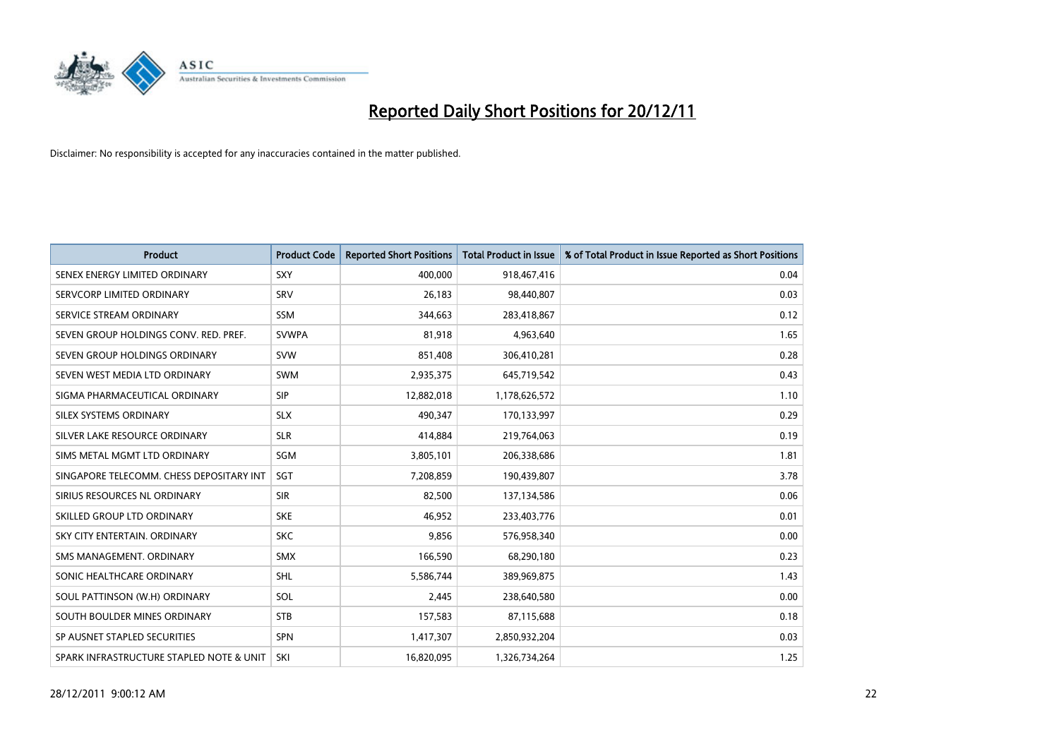

| <b>Product</b>                           | <b>Product Code</b> | <b>Reported Short Positions</b> | <b>Total Product in Issue</b> | % of Total Product in Issue Reported as Short Positions |
|------------------------------------------|---------------------|---------------------------------|-------------------------------|---------------------------------------------------------|
| SENEX ENERGY LIMITED ORDINARY            | <b>SXY</b>          | 400.000                         | 918,467,416                   | 0.04                                                    |
| SERVCORP LIMITED ORDINARY                | SRV                 | 26,183                          | 98,440,807                    | 0.03                                                    |
| SERVICE STREAM ORDINARY                  | <b>SSM</b>          | 344,663                         | 283,418,867                   | 0.12                                                    |
| SEVEN GROUP HOLDINGS CONV. RED. PREF.    | <b>SVWPA</b>        | 81,918                          | 4,963,640                     | 1.65                                                    |
| SEVEN GROUP HOLDINGS ORDINARY            | <b>SVW</b>          | 851,408                         | 306,410,281                   | 0.28                                                    |
| SEVEN WEST MEDIA LTD ORDINARY            | <b>SWM</b>          | 2,935,375                       | 645,719,542                   | 0.43                                                    |
| SIGMA PHARMACEUTICAL ORDINARY            | SIP                 | 12,882,018                      | 1,178,626,572                 | 1.10                                                    |
| SILEX SYSTEMS ORDINARY                   | <b>SLX</b>          | 490,347                         | 170,133,997                   | 0.29                                                    |
| SILVER LAKE RESOURCE ORDINARY            | <b>SLR</b>          | 414,884                         | 219,764,063                   | 0.19                                                    |
| SIMS METAL MGMT LTD ORDINARY             | <b>SGM</b>          | 3,805,101                       | 206,338,686                   | 1.81                                                    |
| SINGAPORE TELECOMM. CHESS DEPOSITARY INT | <b>SGT</b>          | 7,208,859                       | 190,439,807                   | 3.78                                                    |
| SIRIUS RESOURCES NL ORDINARY             | <b>SIR</b>          | 82,500                          | 137,134,586                   | 0.06                                                    |
| SKILLED GROUP LTD ORDINARY               | <b>SKE</b>          | 46,952                          | 233,403,776                   | 0.01                                                    |
| SKY CITY ENTERTAIN, ORDINARY             | <b>SKC</b>          | 9,856                           | 576,958,340                   | 0.00                                                    |
| SMS MANAGEMENT, ORDINARY                 | <b>SMX</b>          | 166,590                         | 68,290,180                    | 0.23                                                    |
| SONIC HEALTHCARE ORDINARY                | <b>SHL</b>          | 5,586,744                       | 389,969,875                   | 1.43                                                    |
| SOUL PATTINSON (W.H) ORDINARY            | SOL                 | 2,445                           | 238,640,580                   | 0.00                                                    |
| SOUTH BOULDER MINES ORDINARY             | <b>STB</b>          | 157,583                         | 87,115,688                    | 0.18                                                    |
| SP AUSNET STAPLED SECURITIES             | <b>SPN</b>          | 1,417,307                       | 2,850,932,204                 | 0.03                                                    |
| SPARK INFRASTRUCTURE STAPLED NOTE & UNIT | SKI                 | 16.820.095                      | 1,326,734,264                 | 1.25                                                    |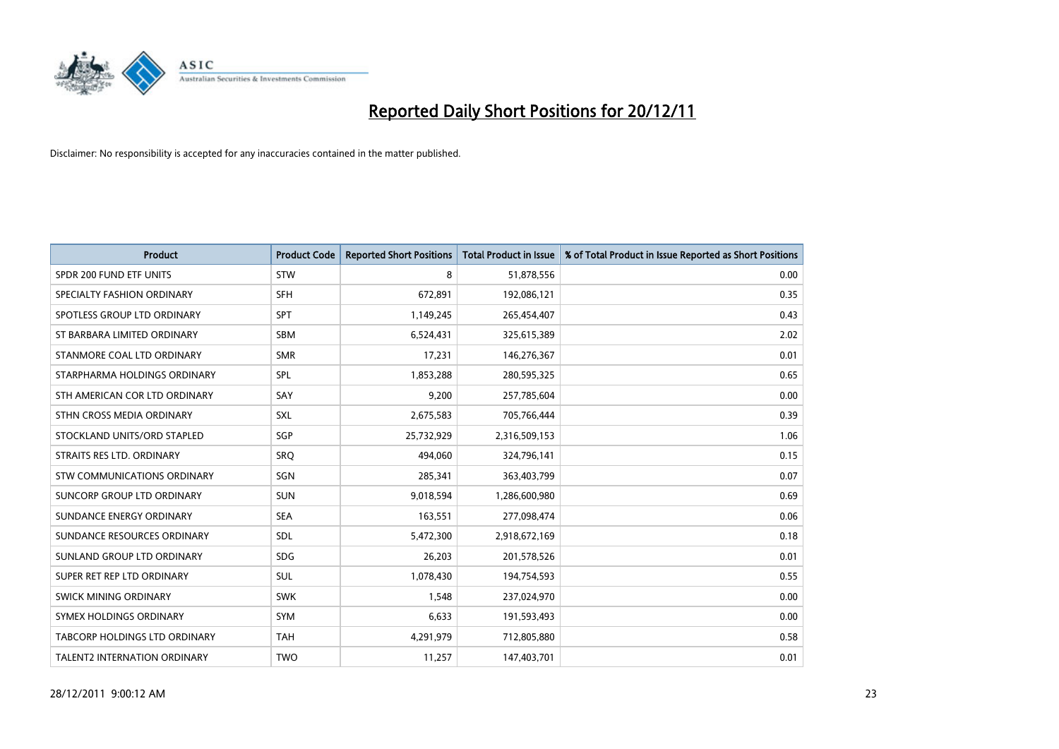

| <b>Product</b>                       | <b>Product Code</b> | <b>Reported Short Positions</b> | <b>Total Product in Issue</b> | % of Total Product in Issue Reported as Short Positions |
|--------------------------------------|---------------------|---------------------------------|-------------------------------|---------------------------------------------------------|
| SPDR 200 FUND ETF UNITS              | <b>STW</b>          | 8                               | 51,878,556                    | 0.00                                                    |
| SPECIALTY FASHION ORDINARY           | <b>SFH</b>          | 672,891                         | 192,086,121                   | 0.35                                                    |
| SPOTLESS GROUP LTD ORDINARY          | <b>SPT</b>          | 1,149,245                       | 265,454,407                   | 0.43                                                    |
| ST BARBARA LIMITED ORDINARY          | <b>SBM</b>          | 6,524,431                       | 325,615,389                   | 2.02                                                    |
| STANMORE COAL LTD ORDINARY           | <b>SMR</b>          | 17,231                          | 146,276,367                   | 0.01                                                    |
| STARPHARMA HOLDINGS ORDINARY         | SPL                 | 1,853,288                       | 280,595,325                   | 0.65                                                    |
| STH AMERICAN COR LTD ORDINARY        | SAY                 | 9,200                           | 257,785,604                   | 0.00                                                    |
| STHN CROSS MEDIA ORDINARY            | SXL                 | 2,675,583                       | 705,766,444                   | 0.39                                                    |
| STOCKLAND UNITS/ORD STAPLED          | SGP                 | 25,732,929                      | 2,316,509,153                 | 1.06                                                    |
| STRAITS RES LTD. ORDINARY            | SRO                 | 494,060                         | 324,796,141                   | 0.15                                                    |
| STW COMMUNICATIONS ORDINARY          | SGN                 | 285,341                         | 363,403,799                   | 0.07                                                    |
| SUNCORP GROUP LTD ORDINARY           | <b>SUN</b>          | 9,018,594                       | 1,286,600,980                 | 0.69                                                    |
| SUNDANCE ENERGY ORDINARY             | <b>SEA</b>          | 163,551                         | 277,098,474                   | 0.06                                                    |
| SUNDANCE RESOURCES ORDINARY          | SDL                 | 5,472,300                       | 2,918,672,169                 | 0.18                                                    |
| SUNLAND GROUP LTD ORDINARY           | <b>SDG</b>          | 26,203                          | 201,578,526                   | 0.01                                                    |
| SUPER RET REP LTD ORDINARY           | SUL                 | 1,078,430                       | 194,754,593                   | 0.55                                                    |
| SWICK MINING ORDINARY                | <b>SWK</b>          | 1,548                           | 237,024,970                   | 0.00                                                    |
| SYMEX HOLDINGS ORDINARY              | <b>SYM</b>          | 6,633                           | 191,593,493                   | 0.00                                                    |
| <b>TABCORP HOLDINGS LTD ORDINARY</b> | <b>TAH</b>          | 4,291,979                       | 712,805,880                   | 0.58                                                    |
| TALENT2 INTERNATION ORDINARY         | <b>TWO</b>          | 11,257                          | 147,403,701                   | 0.01                                                    |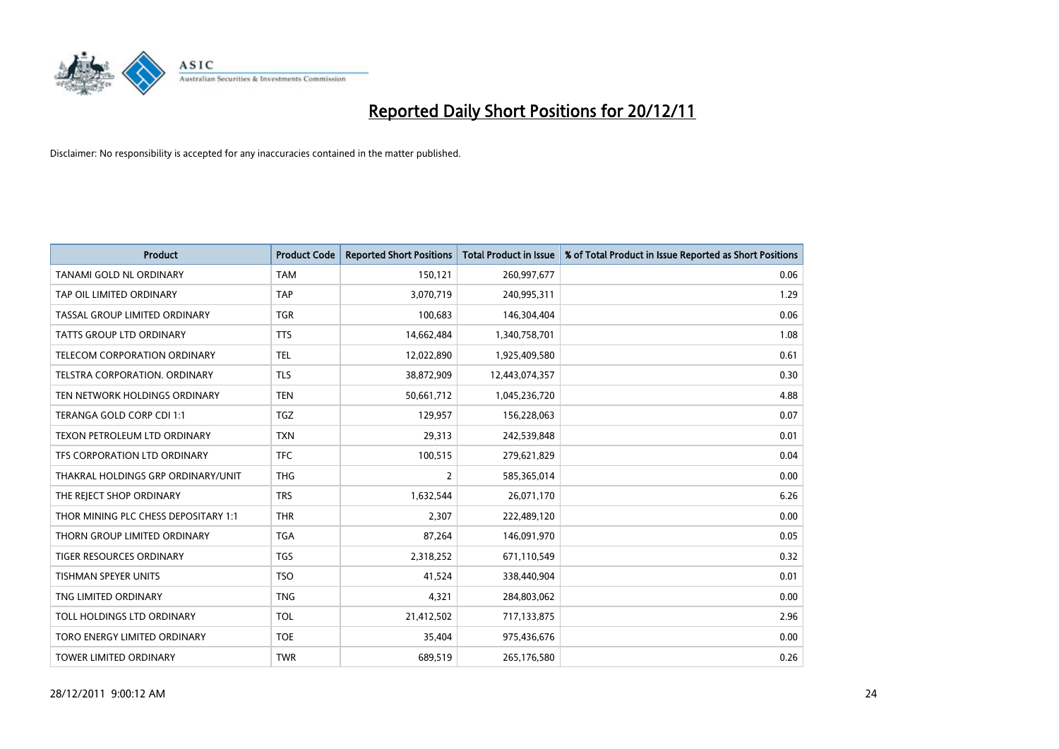

| <b>Product</b>                       | <b>Product Code</b> | <b>Reported Short Positions</b> | <b>Total Product in Issue</b> | % of Total Product in Issue Reported as Short Positions |
|--------------------------------------|---------------------|---------------------------------|-------------------------------|---------------------------------------------------------|
| <b>TANAMI GOLD NL ORDINARY</b>       | <b>TAM</b>          | 150,121                         | 260,997,677                   | 0.06                                                    |
| TAP OIL LIMITED ORDINARY             | <b>TAP</b>          | 3,070,719                       | 240,995,311                   | 1.29                                                    |
| TASSAL GROUP LIMITED ORDINARY        | <b>TGR</b>          | 100,683                         | 146,304,404                   | 0.06                                                    |
| TATTS GROUP LTD ORDINARY             | <b>TTS</b>          | 14,662,484                      | 1,340,758,701                 | 1.08                                                    |
| <b>TELECOM CORPORATION ORDINARY</b>  | <b>TEL</b>          | 12,022,890                      | 1,925,409,580                 | 0.61                                                    |
| <b>TELSTRA CORPORATION, ORDINARY</b> | <b>TLS</b>          | 38,872,909                      | 12,443,074,357                | 0.30                                                    |
| TEN NETWORK HOLDINGS ORDINARY        | <b>TEN</b>          | 50,661,712                      | 1,045,236,720                 | 4.88                                                    |
| TERANGA GOLD CORP CDI 1:1            | <b>TGZ</b>          | 129,957                         | 156,228,063                   | 0.07                                                    |
| TEXON PETROLEUM LTD ORDINARY         | <b>TXN</b>          | 29,313                          | 242,539,848                   | 0.01                                                    |
| TFS CORPORATION LTD ORDINARY         | <b>TFC</b>          | 100,515                         | 279,621,829                   | 0.04                                                    |
| THAKRAL HOLDINGS GRP ORDINARY/UNIT   | <b>THG</b>          | 2                               | 585,365,014                   | 0.00                                                    |
| THE REJECT SHOP ORDINARY             | <b>TRS</b>          | 1,632,544                       | 26,071,170                    | 6.26                                                    |
| THOR MINING PLC CHESS DEPOSITARY 1:1 | <b>THR</b>          | 2,307                           | 222,489,120                   | 0.00                                                    |
| THORN GROUP LIMITED ORDINARY         | <b>TGA</b>          | 87,264                          | 146,091,970                   | 0.05                                                    |
| <b>TIGER RESOURCES ORDINARY</b>      | <b>TGS</b>          | 2,318,252                       | 671,110,549                   | 0.32                                                    |
| <b>TISHMAN SPEYER UNITS</b>          | <b>TSO</b>          | 41,524                          | 338,440,904                   | 0.01                                                    |
| TNG LIMITED ORDINARY                 | <b>TNG</b>          | 4,321                           | 284,803,062                   | 0.00                                                    |
| TOLL HOLDINGS LTD ORDINARY           | <b>TOL</b>          | 21,412,502                      | 717,133,875                   | 2.96                                                    |
| TORO ENERGY LIMITED ORDINARY         | <b>TOE</b>          | 35,404                          | 975,436,676                   | 0.00                                                    |
| TOWER LIMITED ORDINARY               | <b>TWR</b>          | 689,519                         | 265,176,580                   | 0.26                                                    |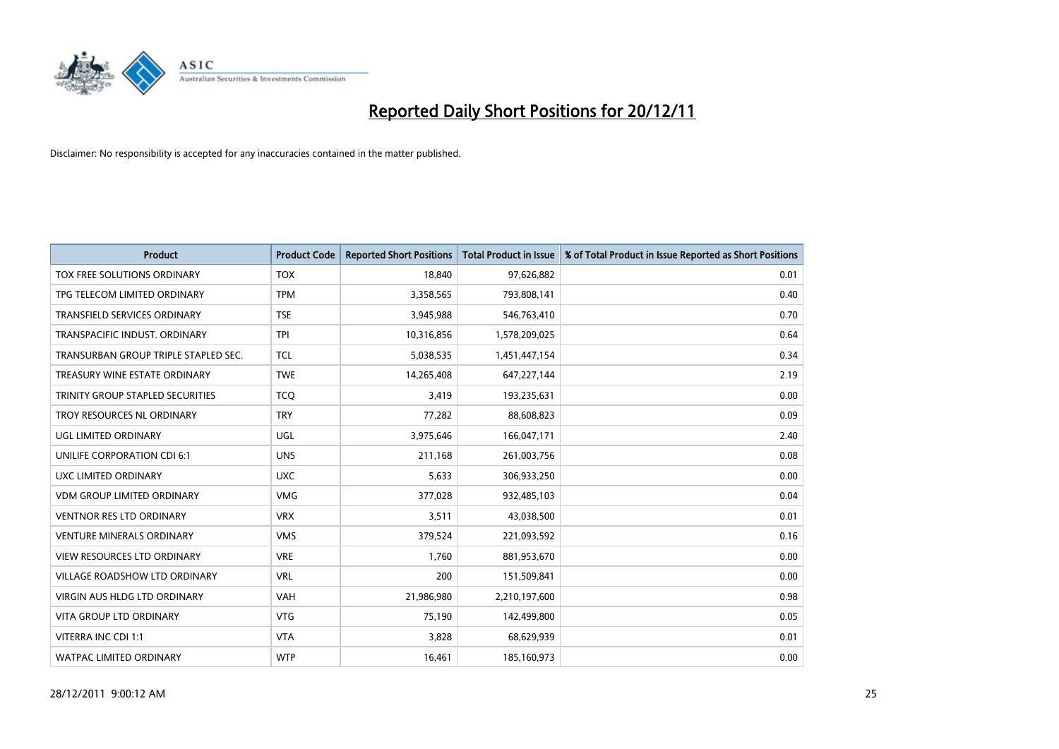

| <b>Product</b>                          | <b>Product Code</b> | <b>Reported Short Positions</b> | <b>Total Product in Issue</b> | % of Total Product in Issue Reported as Short Positions |
|-----------------------------------------|---------------------|---------------------------------|-------------------------------|---------------------------------------------------------|
| TOX FREE SOLUTIONS ORDINARY             | <b>TOX</b>          | 18.840                          | 97,626,882                    | 0.01                                                    |
| TPG TELECOM LIMITED ORDINARY            | <b>TPM</b>          | 3,358,565                       | 793,808,141                   | 0.40                                                    |
| <b>TRANSFIELD SERVICES ORDINARY</b>     | <b>TSE</b>          | 3,945,988                       | 546,763,410                   | 0.70                                                    |
| TRANSPACIFIC INDUST, ORDINARY           | <b>TPI</b>          | 10,316,856                      | 1,578,209,025                 | 0.64                                                    |
| TRANSURBAN GROUP TRIPLE STAPLED SEC.    | <b>TCL</b>          | 5,038,535                       | 1,451,447,154                 | 0.34                                                    |
| TREASURY WINE ESTATE ORDINARY           | <b>TWE</b>          | 14,265,408                      | 647,227,144                   | 2.19                                                    |
| <b>TRINITY GROUP STAPLED SECURITIES</b> | <b>TCO</b>          | 3,419                           | 193,235,631                   | 0.00                                                    |
| TROY RESOURCES NL ORDINARY              | <b>TRY</b>          | 77,282                          | 88,608,823                    | 0.09                                                    |
| UGL LIMITED ORDINARY                    | UGL                 | 3,975,646                       | 166,047,171                   | 2.40                                                    |
| UNILIFE CORPORATION CDI 6:1             | <b>UNS</b>          | 211,168                         | 261,003,756                   | 0.08                                                    |
| <b>UXC LIMITED ORDINARY</b>             | <b>UXC</b>          | 5,633                           | 306,933,250                   | 0.00                                                    |
| <b>VDM GROUP LIMITED ORDINARY</b>       | <b>VMG</b>          | 377,028                         | 932,485,103                   | 0.04                                                    |
| <b>VENTNOR RES LTD ORDINARY</b>         | <b>VRX</b>          | 3,511                           | 43,038,500                    | 0.01                                                    |
| <b>VENTURE MINERALS ORDINARY</b>        | <b>VMS</b>          | 379,524                         | 221,093,592                   | 0.16                                                    |
| <b>VIEW RESOURCES LTD ORDINARY</b>      | <b>VRE</b>          | 1.760                           | 881,953,670                   | 0.00                                                    |
| VILLAGE ROADSHOW LTD ORDINARY           | <b>VRL</b>          | 200                             | 151,509,841                   | 0.00                                                    |
| <b>VIRGIN AUS HLDG LTD ORDINARY</b>     | <b>VAH</b>          | 21,986,980                      | 2,210,197,600                 | 0.98                                                    |
| <b>VITA GROUP LTD ORDINARY</b>          | <b>VTG</b>          | 75,190                          | 142,499,800                   | 0.05                                                    |
| VITERRA INC CDI 1:1                     | <b>VTA</b>          | 3,828                           | 68,629,939                    | 0.01                                                    |
| WATPAC LIMITED ORDINARY                 | <b>WTP</b>          | 16,461                          | 185,160,973                   | 0.00                                                    |